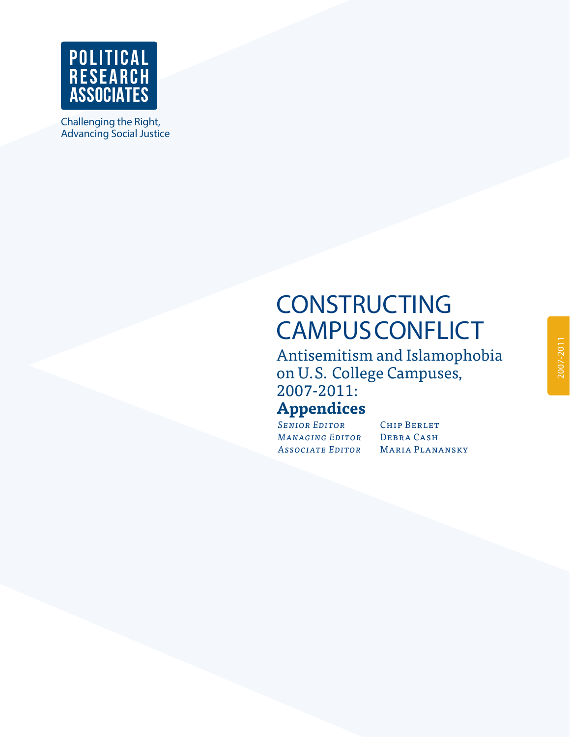

Challenging the Right, Advancing Social Justice

# **CONSTRUCTING CAMPUS CONFLICT**

Antisemitism and Islamophobia on U.S. College Campuses, 2007-2011:

## **Appendices**

*Senior Editor* Chip Berlet *Managing Editor* Debra Cash *Associate Editor* Maria Planansky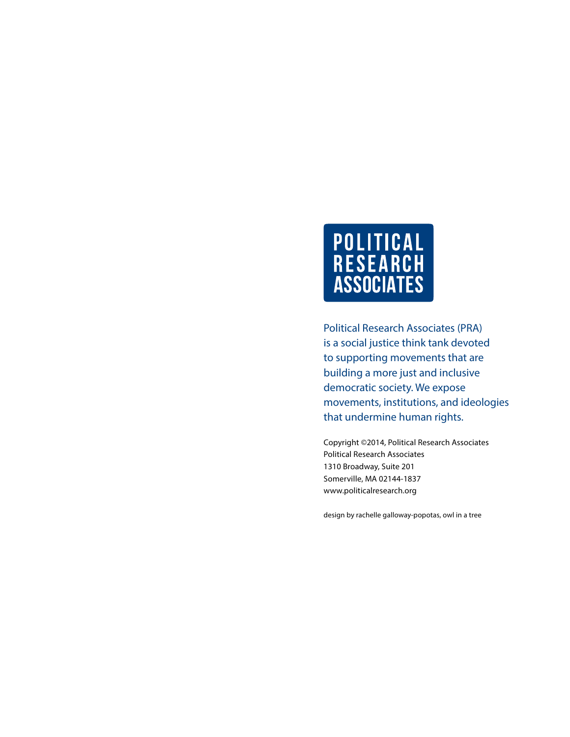

Political Research Associates (PRA) is a social justice think tank devoted to supporting movements that are building a more just and inclusive democratic society. We expose movements, institutions, and ideologies that undermine human rights.

Copyright ©2014, Political Research Associates Political Research Associates 1310 Broadway, Suite 201 Somerville, MA 02144-1837 www.politicalresearch.org

[design by rachelle galloway-popotas, owl in a tree](www.owlinatree.com)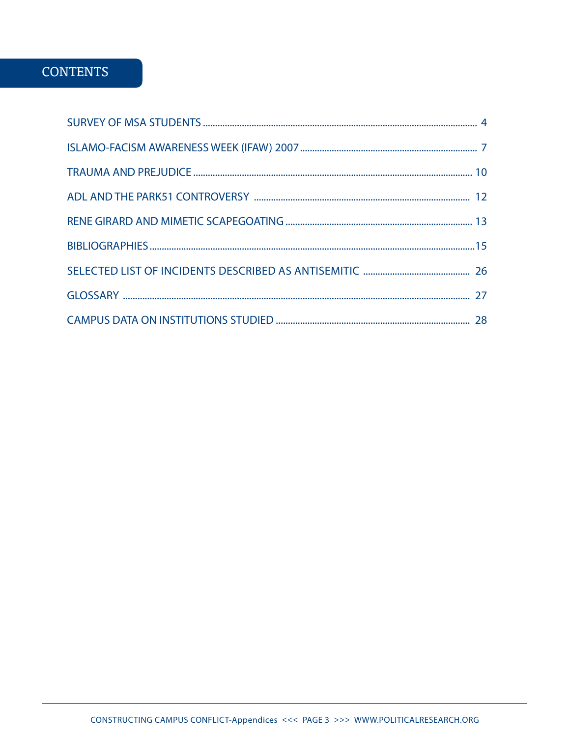### **CONTENTS**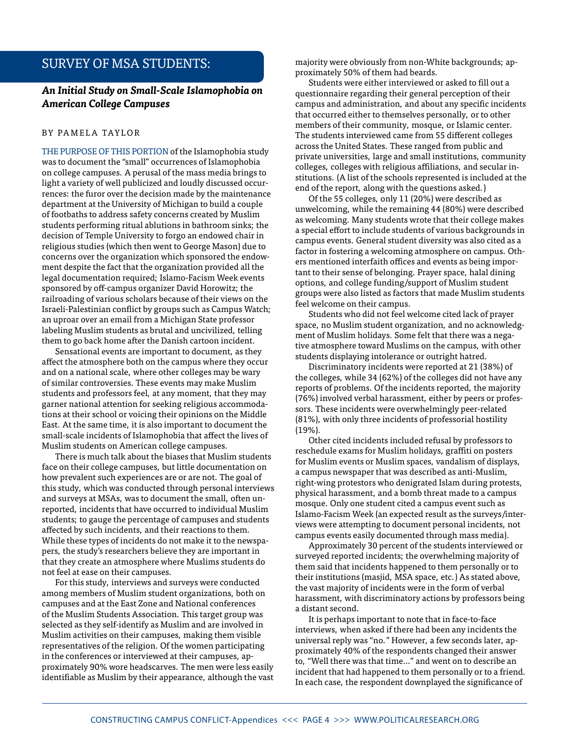### Survey of MSA Students:

#### *An Initial Study on Small-Scale Islamophobia on American College Campuses*

#### BY PAMELA TAYLOR

THE PURPOSE OF THIS PORTION of the Islamophobia study was to document the "small" occurrences of Islamophobia on college campuses. A perusal of the mass media brings to light a variety of well publicized and loudly discussed occurrences: the furor over the decision made by the maintenance department at the University of Michigan to build a couple of footbaths to address safety concerns created by Muslim students performing ritual ablutions in bathroom sinks; the decision of Temple University to forgo an endowed chair in religious studies (which then went to George Mason) due to concerns over the organization which sponsored the endowment despite the fact that the organization provided all the legal documentation required; Islamo-Facism Week events sponsored by off-campus organizer David Horowitz; the railroading of various scholars because of their views on the Israeli-Palestinian conflict by groups such as Campus Watch; an uproar over an email from a Michigan State professor labeling Muslim students as brutal and uncivilized, telling them to go back home after the Danish cartoon incident.

Sensational events are important to document, as they affect the atmosphere both on the campus where they occur and on a national scale, where other colleges may be wary of similar controversies. These events may make Muslim students and professors feel, at any moment, that they may garner national attention for seeking religious accommodations at their school or voicing their opinions on the Middle East. At the same time, it is also important to document the small-scale incidents of Islamophobia that affect the lives of Muslim students on American college campuses.

There is much talk about the biases that Muslim students face on their college campuses, but little documentation on how prevalent such experiences are or are not. The goal of this study, which was conducted through personal interviews and surveys at MSAs, was to document the small, often unreported, incidents that have occurred to individual Muslim students; to gauge the percentage of campuses and students affected by such incidents, and their reactions to them. While these types of incidents do not make it to the newspapers, the study's researchers believe they are important in that they create an atmosphere where Muslims students do not feel at ease on their campuses.

For this study, interviews and surveys were conducted among members of Muslim student organizations, both on campuses and at the East Zone and National conferences of the Muslim Students Association. This target group was selected as they self-identify as Muslim and are involved in Muslim activities on their campuses, making them visible representatives of the religion. Of the women participating in the conferences or interviewed at their campuses, approximately 90% wore headscarves. The men were less easily identifiable as Muslim by their appearance, although the vast majority were obviously from non-White backgrounds; approximately 50% of them had beards.

Students were either interviewed or asked to fill out a questionnaire regarding their general perception of their campus and administration, and about any specific incidents that occurred either to themselves personally, or to other members of their community, mosque, or Islamic center. The students interviewed came from 55 different colleges across the United States. These ranged from public and private universities, large and small institutions, community colleges, colleges with religious affiliations, and secular institutions. (A list of the schools represented is included at the end of the report, along with the questions asked.)

Of the 55 colleges, only 11 (20%) were described as unwelcoming, while the remaining 44 (80%) were described as welcoming. Many students wrote that their college makes a special effort to include students of various backgrounds in campus events. General student diversity was also cited as a factor in fostering a welcoming atmosphere on campus. Others mentioned interfaith offices and events as being important to their sense of belonging. Prayer space, halal dining options, and college funding/support of Muslim student groups were also listed as factors that made Muslim students feel welcome on their campus.

Students who did not feel welcome cited lack of prayer space, no Muslim student organization, and no acknowledgment of Muslim holidays. Some felt that there was a negative atmosphere toward Muslims on the campus, with other students displaying intolerance or outright hatred.

Discriminatory incidents were reported at 21 (38%) of the colleges, while 34 (62%) of the colleges did not have any reports of problems. Of the incidents reported, the majority (76%) involved verbal harassment, either by peers or professors. These incidents were overwhelmingly peer-related (81%), with only three incidents of professorial hostility (19%).

Other cited incidents included refusal by professors to reschedule exams for Muslim holidays, graffiti on posters for Muslim events or Muslim spaces, vandalism of displays, a campus newspaper that was described as anti-Muslim, right-wing protestors who denigrated Islam during protests, physical harassment, and a bomb threat made to a campus mosque. Only one student cited a campus event such as Islamo-Facism Week (an expected result as the surveys/interviews were attempting to document personal incidents, not campus events easily documented through mass media).

Approximately 30 percent of the students interviewed or surveyed reported incidents; the overwhelming majority of them said that incidents happened to them personally or to their institutions (masjid, MSA space, etc.) As stated above, the vast majority of incidents were in the form of verbal harassment, with discriminatory actions by professors being a distant second.

It is perhaps important to note that in face-to-face interviews, when asked if there had been any incidents the universal reply was "no." However, a few seconds later, approximately 40% of the respondents changed their answer to, "Well there was that time…" and went on to describe an incident that had happened to them personally or to a friend. In each case, the respondent downplayed the significance of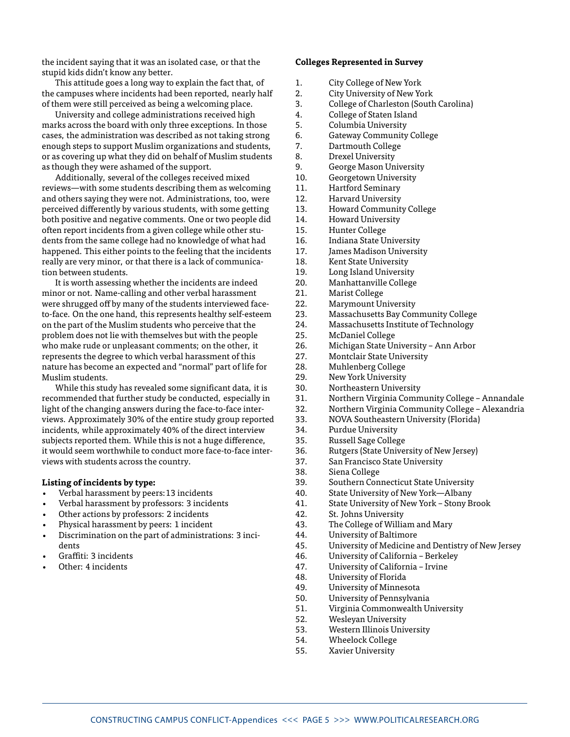the incident saying that it was an isolated case, or that the stupid kids didn't know any better.

This attitude goes a long way to explain the fact that, of the campuses where incidents had been reported, nearly half of them were still perceived as being a welcoming place.

University and college administrations received high marks across the board with only three exceptions. In those cases, the administration was described as not taking strong enough steps to support Muslim organizations and students, or as covering up what they did on behalf of Muslim students as though they were ashamed of the support.

Additionally, several of the colleges received mixed reviews—with some students describing them as welcoming and others saying they were not. Administrations, too, were perceived differently by various students, with some getting both positive and negative comments. One or two people did often report incidents from a given college while other students from the same college had no knowledge of what had happened. This either points to the feeling that the incidents really are very minor, or that there is a lack of communication between students.

It is worth assessing whether the incidents are indeed minor or not. Name-calling and other verbal harassment were shrugged off by many of the students interviewed faceto-face. On the one hand, this represents healthy self-esteem on the part of the Muslim students who perceive that the problem does not lie with themselves but with the people who make rude or unpleasant comments; on the other, it represents the degree to which verbal harassment of this nature has become an expected and "normal" part of life for Muslim students.

While this study has revealed some significant data, it is recommended that further study be conducted, especially in light of the changing answers during the face-to-face interviews. Approximately 30% of the entire study group reported incidents, while approximately 40% of the direct interview subjects reported them. While this is not a huge difference, it would seem worthwhile to conduct more face-to-face interviews with students across the country.

#### **Listing of incidents by type:**

- Verbal harassment by peers:13 incidents
- Verbal harassment by professors: 3 incidents
- Other actions by professors: 2 incidents
- Physical harassment by peers: 1 incident
- Discrimination on the part of administrations: 3 incidents
- Graffiti: 3 incidents
- Other: 4 incidents

#### **Colleges Represented in Survey**

- 1. City College of New York
- 2. City University of New York
- 3. College of Charleston (South Carolina)
- 4. College of Staten Island
- 5. Columbia University
- 6. Gateway Community College
- 7. Dartmouth College
- 8. Drexel University
- 9. George Mason University
- 10. Georgetown University
- 11. Hartford Seminary
- 12. Harvard University
- 13. Howard Community College
- 14. Howard University
- 15. Hunter College
- 16. Indiana State University
- 17. James Madison University
- 18. Kent State University
- 19. Long Island University
- 20. Manhattanville College
- 21. Marist College<br>22. Marymount Ur
- **Marymount University**
- 23. Massachusetts Bay Community College
- 24. Massachusetts Institute of Technology
- 25. McDaniel College
- 26. Michigan State University Ann Arbor
- 27. Montclair State University
- 28. Muhlenberg College
- 29. New York University
- 30. Northeastern University
- 31. Northern Virginia Community College Annandale
- 32. Northern Virginia Community College Alexandria
- 33. NOVA Southeastern University (Florida)
- 34. Purdue University
- 35. Russell Sage College
- 36. Rutgers (State University of New Jersey)
- 37. San Francisco State University
- 38. Siena College
- 39. Southern Connecticut State University
- 40. State University of New York—Albany
- 41. State University of New York Stony Brook
- 42. St. Johns University
- 43. The College of William and Mary
- 44. University of Baltimore
- 45. University of Medicine and Dentistry of New Jersey
- 46. University of California Berkeley
- 47. University of California Irvine
- 48. University of Florida
- 49. University of Minnesota
- 50. University of Pennsylvania
- 51. Virginia Commonwealth University
- 52. Wesleyan University
- 53. Western Illinois University<br>54 Wheelock College
- Wheelock College
- 55. Xavier University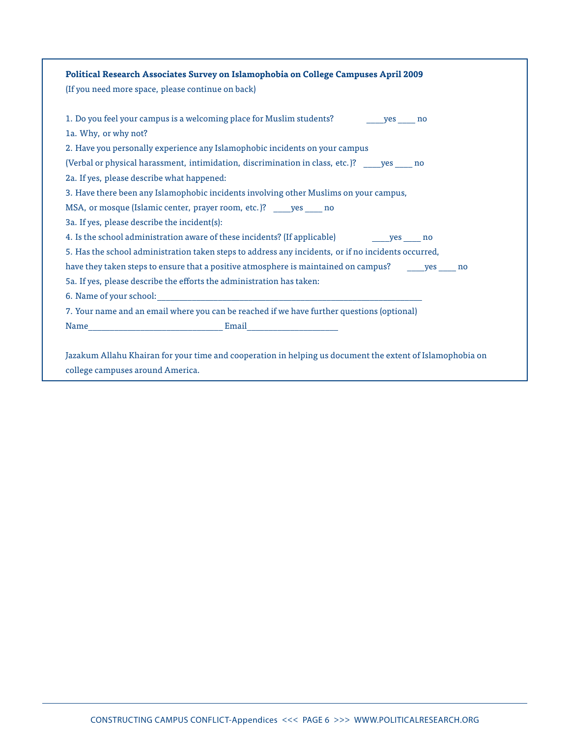| Political Research Associates Survey on Islamophobia on College Campuses April 2009                       |
|-----------------------------------------------------------------------------------------------------------|
| (If you need more space, please continue on back)                                                         |
|                                                                                                           |
| 1a. Why, or why not?                                                                                      |
| 2. Have you personally experience any Islamophobic incidents on your campus                               |
| (Verbal or physical harassment, intimidation, discrimination in class, etc.)? _____ yes _____ no          |
| 2a. If yes, please describe what happened:                                                                |
| 3. Have there been any Islamophobic incidents involving other Muslims on your campus,                     |
| MSA, or mosque (Islamic center, prayer room, etc.)? _____ yes _____ no                                    |
| 3a. If yes, please describe the incident(s):                                                              |
|                                                                                                           |
| 5. Has the school administration taken steps to address any incidents, or if no incidents occurred,       |
| have they taken steps to ensure that a positive atmosphere is maintained on campus? ______ yes _____ no   |
| 5a. If yes, please describe the efforts the administration has taken:                                     |
|                                                                                                           |
| 7. Your name and an email where you can be reached if we have further questions (optional)                |
|                                                                                                           |
|                                                                                                           |
| Jazakum Allahu Khairan for your time and cooperation in helping us document the extent of Islamophobia on |
| college campuses around America.                                                                          |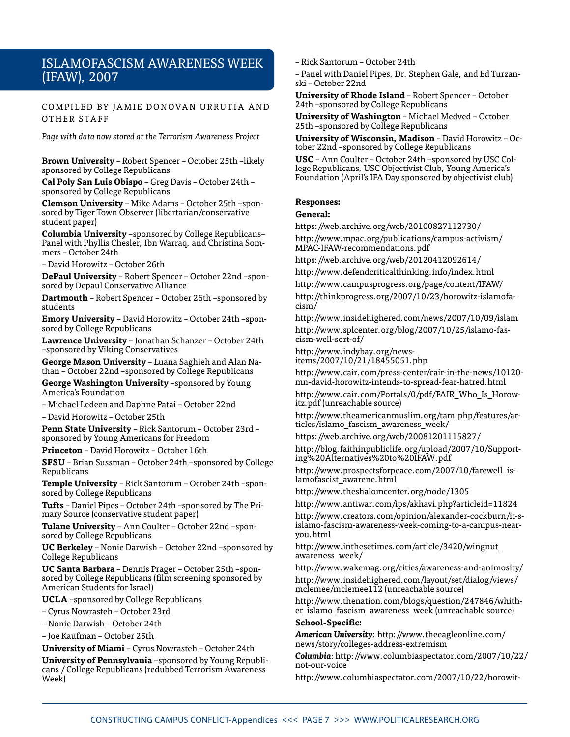### Islamofascism awareness Week (IFAW), 2007

COMPILED BY JAMIE DONOVAN URRUTIA AND OTHER STAFF

*Page with data now stored at the Terrorism Awareness Project*

**Brown University** – Robert Spencer – October 25th –likely sponsored by College Republicans

**Cal Poly San Luis Obispo** – Greg Davis – October 24th – sponsored by College Republicans

**Clemson University** – Mike Adams – October 25th –sponsored by Tiger Town Observer (libertarian/conservative student paper)

**Columbia University** –sponsored by College Republicans– Panel with Phyllis Chesler, Ibn Warraq, and Christina Sommers – October 24th

– David Horowitz – October 26th

**DePaul University** – Robert Spencer – October 22nd –sponsored by Depaul Conservative Alliance

**Dartmouth** – Robert Spencer – October 26th –sponsored by students

**Emory University** – David Horowitz – October 24th –sponsored by College Republicans

**Lawrence University** – Jonathan Schanzer – October 24th –sponsored by Viking Conservatives

**George Mason University** – Luana Saghieh and Alan Nathan – October 22nd –sponsored by College Republicans

**George Washington University** –sponsored by Young America's Foundation

– Michael Ledeen and Daphne Patai – October 22nd – David Horowitz – October 25th

**Penn State University** – Rick Santorum – October 23rd – sponsored by Young Americans for Freedom

**Princeton** – David Horowitz – October 16th

**SFSU** – Brian Sussman – October 24th –sponsored by College Republicans

**Temple University** – Rick Santorum – October 24th –sponsored by College Republicans

**Tufts** – Daniel Pipes – October 24th –sponsored by The Primary Source (conservative student paper)

**Tulane University** – Ann Coulter – October 22nd –sponsored by College Republicans

**UC Berkeley** – Nonie Darwish – October 22nd –sponsored by College Republicans

**UC Santa Barbara** – Dennis Prager – October 25th –sponsored by College Republicans (film screening sponsored by American Students for Israel)

**UCLA** –sponsored by College Republicans

– Cyrus Nowrasteh – October 23rd

– Nonie Darwish – October 24th

– Joe Kaufman – October 25th

**University of Miami** – Cyrus Nowrasteh – October 24th

**University of Pennsylvania** –sponsored by Young Republicans / College Republicans (redubbed Terrorism Awareness Week)

– Rick Santorum – October 24th

– Panel with Daniel Pipes, Dr. Stephen Gale, and Ed Turzanski – October 22nd

**University of Rhode Island** – Robert Spencer – October 24th –sponsored by College Republicans

**University of Washington** – Michael Medved – October 25th –sponsored by College Republicans

**University of Wisconsin, Madison** – David Horowitz – October 22nd –sponsored by College Republicans

**USC** – Ann Coulter – October 24th –sponsored by USC College Republicans, USC Objectivist Club, Young America's Foundation (April's IFA Day sponsored by objectivist club)

#### **Responses:**

#### **General:**

[https://web.archive.org/web/20100827112730/](https://web.archive.org/web/20100827112730/http://www.mpac.org/publications/campus-activism/MPAC-IFAW-recommendations.pdf )

[http://www.mpac.org/publications/campus-activism/](https://web.archive.org/web/20100827112730/http://www.mpac.org/publications/campus-activism/MPAC-IFAW-recommendations.pdf ) [MPAC-IFAW-recommendations.pdf](https://web.archive.org/web/20100827112730/http://www.mpac.org/publications/campus-activism/MPAC-IFAW-recommendations.pdf ) 

https://web.archive.org/web/20120412092614/

http://www.defendcriticalthinking.info/index.html

http://www.campusprogress.org/page/content/IFAW/

http://thinkprogress.org/2007/10/23/horowitz-islamofacism/

http://www.insidehighered.com/news/2007/10/09/islam http://www.splcenter.org/blog/2007/10/25/islamo-fascism-well-sort-of/

http://www.indybay.org/newsitems/2007/10/21/18455051.php

http://www.cair.com/press-center/cair-in-the-news/10120 mn-david-horowitz-intends-to-spread-fear-hatred.html

http://www.cair.com/Portals/0/pdf/FAIR\_Who\_Is\_Horowitz.pdf (unreachable source)

http://www.theamericanmuslim.org/tam.php/features/articles/islamo\_fascism\_awareness\_week/

https://web.archive.org/web/20081201115827/

http://blog.faithinpubliclife.org/upload/2007/10/Supporting%20Alternatives%20to%20IFAW.pdf

http://www.prospectsforpeace.com/2007/10/farewell islamofascist\_awarene.html

http://www.theshalomcenter.org/node/1305

http://www.antiwar.com/ips/akhavi.php?articleid=11824

http://www.creators.com/opinion/alexander-cockburn/it-sislamo-fascism-awareness-week-coming-to-a-campus-nearyou.html

http://www.inthesetimes.com/article/3420/wingnut\_ awareness\_week/

http://www.wakemag.org/cities/awareness-and-animosity/ http://www.insidehighered.com/layout/set/dialog/views/ mclemee/mclemee112 (unreachable source)

http://www.thenation.com/blogs/question/247846/whither\_islamo\_fascism\_awareness\_week (unreachable source) **School-Specific:**

*American University*: http://www.theeagleonline.com/ news/story/colleges-address-extremism

*Columbia*: http://www.columbiaspectator.com/2007/10/22/ not-our-voice

http://www.columbiaspectator.com/2007/10/22/horowit-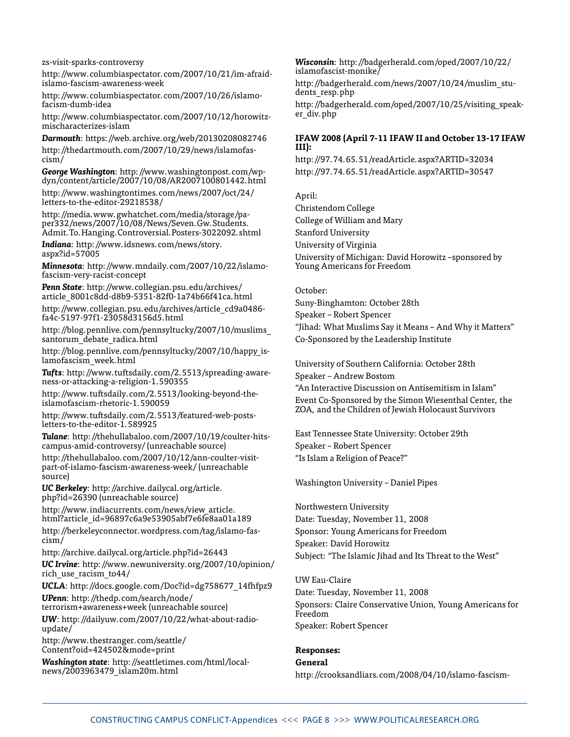#### zs-visit-sparks-controversy

http://www.columbiaspectator.com/2007/10/21/im-afraidislamo-fascism-awareness-week

http://www.columbiaspectator.com/2007/10/26/islamofacism-dumb-idea

http://www.columbiaspectator.com/2007/10/12/horowitzmischaracterizes-islam

*Darmouth*: https://web.archive.org/web/20130208082746

http://thedartmouth.com/2007/10/29/news/islamofascism/

*George Washington*: http://www.washingtonpost.com/wpdyn/content/article/2007/10/08/AR2007100801442.html

http://www.washingtontimes.com/news/2007/oct/24/ letters-to-the-editor-29218538/

http://media.www.gwhatchet.com/media/storage/paper332/news/2007/10/08/News/Seven.Gw.Students. Admit.To.Hanging.Controversial.Posters-3022092.shtml

*Indiana*: http://www.idsnews.com/news/story. aspx?id=57005

*Minnesota*: http://www.mndaily.com/2007/10/22/islamofascism-very-racist-concept

*Penn State*: http://www.collegian.psu.edu/archives/ article\_8001c8dd-d8b9-5351-82f0-1a74b66f41ca.html

http://www.collegian.psu.edu/archives/article\_cd9a0486 fa4c-5197-97f1-23058d3156d5.html

http://blog.pennlive.com/pennsyltucky/2007/10/muslims\_ santorum debate radica.html

http://blog.pennlive.com/pennsyltucky/2007/10/happy\_islamofascism\_week.html

*Tufts*: http://www.tuftsdaily.com/2.5513/spreading-awareness-or-attacking-a-religion-1.590355

http://www.tuftsdaily.com/2.5513/looking-beyond-theislamofascism-rhetoric-1.590059

http://www.tuftsdaily.com/2.5513/featured-web-postsletters-to-the-editor-1.589925

*Tulane*: http://thehullabaloo.com/2007/10/19/coulter-hitscampus-amid-controversy/ (unreachable source)

http://thehullabaloo.com/2007/10/12/ann-coulter-visitpart-of-islamo-fascism-awareness-week/ (unreachable source)

*UC Berkeley*: http://archive.dailycal.org/article. php?id=26390 (unreachable source)

http://www.indiacurrents.com/news/view\_article. html?article\_id=96897c6a9e53905abf7e6fe8aa01a189

http://berkeleyconnector.wordpress.com/tag/islamo-fascism/

http://archive.dailycal.org/article.php?id=26443

*UC Irvine*: http://www.newuniversity.org/2007/10/opinion/ rich\_use\_racism\_to44/

*UCLA*: http://docs.google.com/Doc?id=dg758677\_14fhfpz9

*UPenn*: http://thedp.com/search/node/ terrorism+awareness+week (unreachable source)

*UW*: http://dailyuw.com/2007/10/22/what-about-radioupdate/

http://www.thestranger.com/seattle/ Content?oid=424502&mode=print

*Washington state*: http://seattletimes.com/html/localnews/2003963479\_islam20m.html

*Wisconsin*: http://badgerherald.com/oped/2007/10/22/ islamofascist-monike/

http://badgerherald.com/news/2007/10/24/muslim\_students\_resp.php

http://badgerherald.com/oped/2007/10/25/visiting speaker\_div.php

#### **IFAW 2008 (April 7-11 IFAW II and October 13-17 IFAW III):**

http://97.74.65.51/readArticle.aspx?ARTID=32034 http://97.74.65.51/readArticle.aspx?ARTID=30547

April:

Christendom College College of William and Mary Stanford University University of Virginia University of Michigan: David Horowitz –sponsored by Young Americans for Freedom

October:

Suny-Binghamton: October 28th Speaker – Robert Spencer "Jihad: What Muslims Say it Means – And Why it Matters"

Co-Sponsored by the Leadership Institute

University of Southern California: October 28th

Speaker – Andrew Bostom

"An Interactive Discussion on Antisemitism in Islam"

Event Co-Sponsored by the Simon Wiesenthal Center, the ZOA, and the Children of Jewish Holocaust Survivors

East Tennessee State University: October 29th Speaker – Robert Spencer "Is Islam a Religion of Peace?"

Washington University – Daniel Pipes

Northwestern University

Date: Tuesday, November 11, 2008 Sponsor: Young Americans for Freedom Speaker: David Horowitz Subject: "The Islamic Jihad and Its Threat to the West"

UW Eau-Claire Date: Tuesday, November 11, 2008 Sponsors: Claire Conservative Union, Young Americans for Freedom Speaker: Robert Spencer

#### **Responses:**

**General**

http://crooksandliars.com/2008/04/10/islamo-fascism-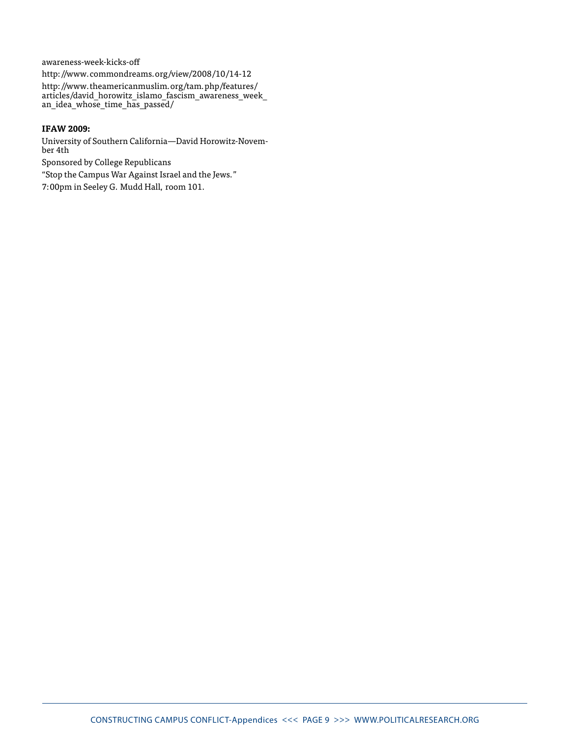awareness-week-kicks-off

http://www.commondreams.org/view/2008/10/14-12

http://www.theamericanmuslim.org/tam.php/features/ articles/david\_horowitz\_islamo\_fascism\_awareness\_week\_ an\_idea\_whose\_time\_has\_passed/

#### **IFAW 2009:**

University of Southern California—David Horowitz-November 4th

Sponsored by College Republicans

"Stop the Campus War Against Israel and the Jews."

7:00pm in Seeley G. Mudd Hall, room 101.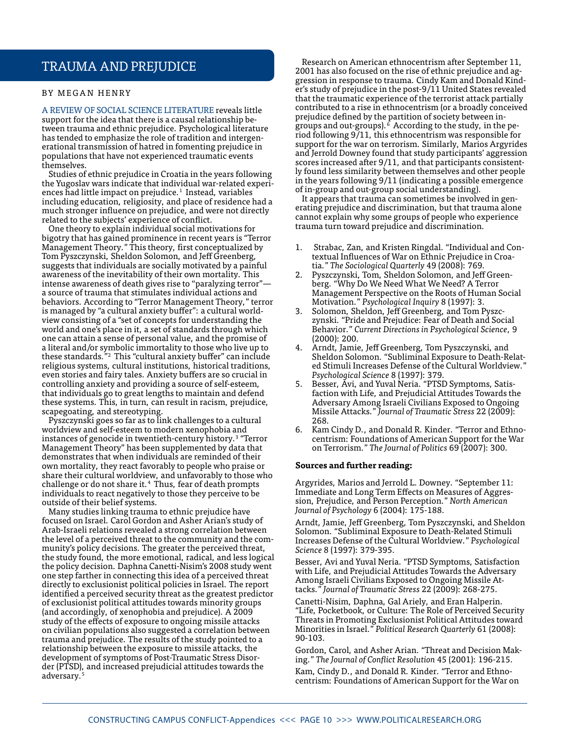### trauma and Prejudice

#### BY MEGAN HENRY

A review of social science literature reveals little support for the idea that there is a causal relationship between trauma and ethnic prejudice. Psychological literature has tended to emphasize the role of tradition and intergenerational transmission of hatred in fomenting prejudice in populations that have not experienced traumatic events themselves.

Studies of ethnic prejudice in Croatia in the years following the Yugoslav wars indicate that individual war-related experiences had little impact on prejudice.<sup>1</sup> Instead, variables including education, religiosity, and place of residence had a much stronger influence on prejudice, and were not directly related to the subjects' experience of conflict.

One theory to explain individual social motivations for bigotry that has gained prominence in recent years is "Terror Management Theory." This theory, first conceptualized by Tom Pyszczynski, Sheldon Solomon, and Jeff Greenberg, suggests that individuals are socially motivated by a painful awareness of the inevitability of their own mortality. This intense awareness of death gives rise to "paralyzing terror" a source of trauma that stimulates individual actions and behaviors. According to "Terror Management Theory," terror is managed by "a cultural anxiety buffer": a cultural worldview consisting of a "set of concepts for understanding the world and one's place in it, a set of standards through which one can attain a sense of personal value, and the promise of a literal and/or symbolic immortality to those who live up to these standards."2 This "cultural anxiety buffer" can include religious systems, cultural institutions, historical traditions, even stories and fairy tales. Anxiety buffers are so crucial in controlling anxiety and providing a source of self-esteem, that individuals go to great lengths to maintain and defend these systems. This, in turn, can result in racism, prejudice, scapegoating, and stereotyping.

Pyszczynski goes so far as to link challenges to a cultural worldview and self-esteem to modern xenophobia and instances of genocide in twentieth-century history.3 "Terror Management Theory" has been supplemented by data that demonstrates that when individuals are reminded of their own mortality, they react favorably to people who praise or share their cultural worldview, and unfavorably to those who challenge or do not share it.<sup>4</sup> Thus, fear of death prompts individuals to react negatively to those they perceive to be outside of their belief systems.

Many studies linking trauma to ethnic prejudice have focused on Israel. Carol Gordon and Asher Arian's study of Arab-Israeli relations revealed a strong correlation between the level of a perceived threat to the community and the community's policy decisions. The greater the perceived threat, the study found, the more emotional, radical, and less logical the policy decision. Daphna Canetti-Nisim's 2008 study went one step farther in connecting this idea of a perceived threat directly to exclusionist political policies in Israel. The report identified a perceived security threat as the greatest predictor of exclusionist political attitudes towards minority groups (and accordingly, of xenophobia and prejudice). A 2009 study of the effects of exposure to ongoing missile attacks on civilian populations also suggested a correlation between trauma and prejudice. The results of the study pointed to a relationship between the exposure to missile attacks, the development of symptoms of Post-Traumatic Stress Disorder (PTSD), and increased prejudicial attitudes towards the adversary.<sup>5</sup>

Research on American ethnocentrism after September 11, 2001 has also focused on the rise of ethnic prejudice and aggression in response to trauma. Cindy Kam and Donald Kinder's study of prejudice in the post-9/11 United States revealed that the traumatic experience of the terrorist attack partially contributed to a rise in ethnocentrism (or a broadly conceived prejudice defined by the partition of society between ingroups and out-groups).6 According to the study, in the period following 9/11, this ethnocentrism was responsible for support for the war on terrorism. Similarly, Marios Argyrides and Jerrold Downey found that study participants' aggression scores increased after 9/11, and that participants consistently found less similarity between themselves and other people in the years following 9/11 (indicating a possible emergence of in-group and out-group social understanding).

It appears that trauma can sometimes be involved in generating prejudice and discrimination, but that trauma alone cannot explain why some groups of people who experience trauma turn toward prejudice and discrimination.

- 1. Strabac, Zan, and Kristen Ringdal. "Individual and Contextual Influences of War on Ethnic Prejudice in Croatia." *The Sociological Quarterly* 49 (2008): 769.
- 2. Pyszczynski, Tom, Sheldon Solomon, and Jeff Greenberg. "Why Do We Need What We Need? A Terror Management Perspective on the Roots of Human Social Motivation." *Psychological Inquiry* 8 (1997): 3.
- 3. Solomon, Sheldon, Jeff Greenberg, and Tom Pyszczynski. "Pride and Prejudice: Fear of Death and Social Behavior." *Current Directions in Psychological Science*, 9 (2000): 200.
- 4. Arndt, Jamie, Jeff Greenberg, Tom Pyszczynski, and Sheldon Solomon. "Subliminal Exposure to Death-Related Stimuli Increases Defense of the Cultural Worldview." *Psychological Science* 8 (1997): 379.
- 5. Besser, Avi, and Yuval Neria. "PTSD Symptoms, Satisfaction with Life, and Prejudicial Attitudes Towards the Adversary Among Israeli Civilians Exposed to Ongoing Missile Attacks." *Journal of Traumatic Stress* 22 (2009): 268.
- 6. Kam Cindy D., and Donald R. Kinder. "Terror and Ethnocentrism: Foundations of American Support for the War on Terrorism." *The Journal of Politics* 69 (2007): 300.

#### **Sources and further reading:**

Argyrides, Marios and Jerrold L. Downey. "September 11: Immediate and Long Term Effects on Measures of Aggression, Prejudice, and Person Perception." *North American Journal of Psychology* 6 (2004): 175-188.

Arndt, Jamie, Jeff Greenberg, Tom Pyszczynski, and Sheldon Solomon. "Subliminal Exposure to Death-Related Stimuli Increases Defense of the Cultural Worldview." *Psychological Science* 8 (1997): 379-395.

Besser, Avi and Yuval Neria. "PTSD Symptoms, Satisfaction with Life, and Prejudicial Attitudes Towards the Adversary Among Israeli Civilians Exposed to Ongoing Missile Attacks." *Journal of Traumatic Stress* 22 (2009): 268-275.

Canetti-Nisim, Daphna, Gal Ariely, and Eran Halperin. "Life, Pocketbook, or Culture: The Role of Perceived Security Threats in Promoting Exclusionist Political Attitudes toward Minorities in Israel." *Political Research Quarterly* 61 (2008): 90-103.

Gordon, Carol, and Asher Arian. "Threat and Decision Making." *The Journal of Conflict Resolution* 45 (2001): 196-215.

Kam, Cindy D., and Donald R. Kinder. "Terror and Ethnocentrism: Foundations of American Support for the War on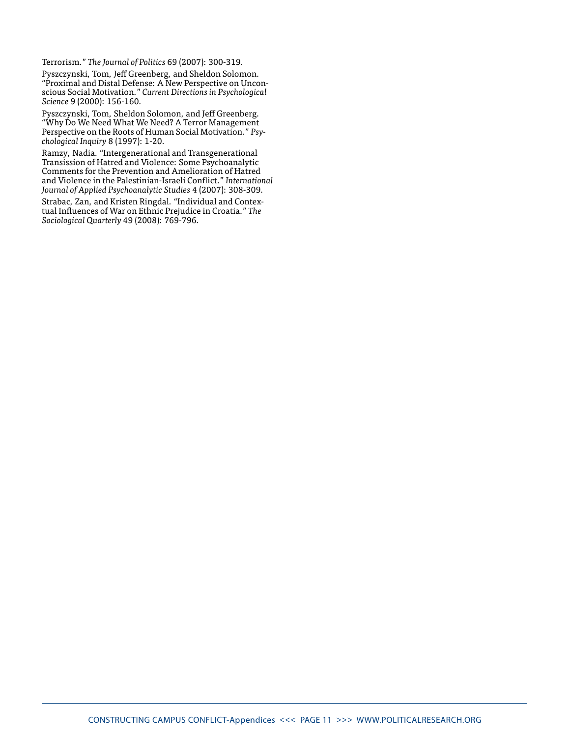Terrorism." *The Journal of Politics* 69 (2007): 300-319.

Pyszczynski, Tom, Jeff Greenberg, and Sheldon Solomon. "Proximal and Distal Defense: A New Perspective on Unconscious Social Motivation." *Current Directions in Psychological Science* 9 (2000): 156-160.

Pyszczynski, Tom, Sheldon Solomon, and Jeff Greenberg. "Why Do We Need What We Need? A Terror Management Perspective on the Roots of Human Social Motivation." *Psychological Inquiry* 8 (1997): 1-20.

Ramzy, Nadia. "Intergenerational and Transgenerational Transission of Hatred and Violence: Some Psychoanalytic Comments for the Prevention and Amelioration of Hatred and Violence in the Palestinian-Israeli Conflict." *International Journal of Applied Psychoanalytic Studies* 4 (2007): 308-309.

Strabac, Zan, and Kristen Ringdal. "Individual and Contextual Influences of War on Ethnic Prejudice in Croatia." *The Sociological Quarterly* 49 (2008): 769-796.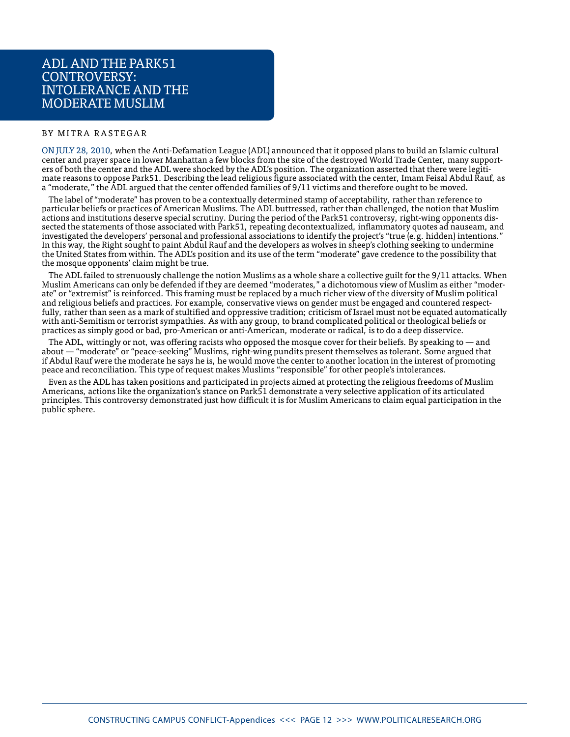### ADL and the Park51 CONTROVERSY: Intolerance and the Moderate Muslim

#### BY MITRA RASTEGAR

On July 28, 2010, when the Anti-Defamation League (ADL) announced that it opposed plans to build an Islamic cultural center and prayer space in lower Manhattan a few blocks from the site of the destroyed World Trade Center, many supporters of both the center and the ADL were shocked by the ADL's position. The organization asserted that there were legitimate reasons to oppose Park51. Describing the lead religious figure associated with the center, Imam Feisal Abdul Rauf, as a "moderate," the ADL argued that the center offended families of 9/11 victims and therefore ought to be moved.

The label of "moderate" has proven to be a contextually determined stamp of acceptability, rather than reference to particular beliefs or practices of American Muslims. The ADL buttressed, rather than challenged, the notion that Muslim actions and institutions deserve special scrutiny. During the period of the Park51 controversy, right-wing opponents dissected the statements of those associated with Park51, repeating decontextualized, inflammatory quotes ad nauseam, and investigated the developers' personal and professional associations to identify the project's "true (e.g. hidden) intentions." In this way, the Right sought to paint Abdul Rauf and the developers as wolves in sheep's clothing seeking to undermine the United States from within. The ADL's position and its use of the term "moderate" gave credence to the possibility that the mosque opponents' claim might be true.

The ADL failed to strenuously challenge the notion Muslims as a whole share a collective guilt for the 9/11 attacks. When Muslim Americans can only be defended if they are deemed "moderates," a dichotomous view of Muslim as either "moderate" or "extremist" is reinforced. This framing must be replaced by a much richer view of the diversity of Muslim political and religious beliefs and practices. For example, conservative views on gender must be engaged and countered respectfully, rather than seen as a mark of stultified and oppressive tradition; criticism of Israel must not be equated automatically with anti-Semitism or terrorist sympathies. As with any group, to brand complicated political or theological beliefs or practices as simply good or bad, pro-American or anti-American, moderate or radical, is to do a deep disservice.

The ADL, wittingly or not, was offering racists who opposed the mosque cover for their beliefs. By speaking to — and about — "moderate" or "peace-seeking" Muslims, right-wing pundits present themselves as tolerant. Some argued that if Abdul Rauf were the moderate he says he is, he would move the center to another location in the interest of promoting peace and reconciliation. This type of request makes Muslims "responsible" for other people's intolerances.

Even as the ADL has taken positions and participated in projects aimed at protecting the religious freedoms of Muslim Americans, actions like the organization's stance on Park51 demonstrate a very selective application of its articulated principles. This controversy demonstrated just how difficult it is for Muslim Americans to claim equal participation in the public sphere.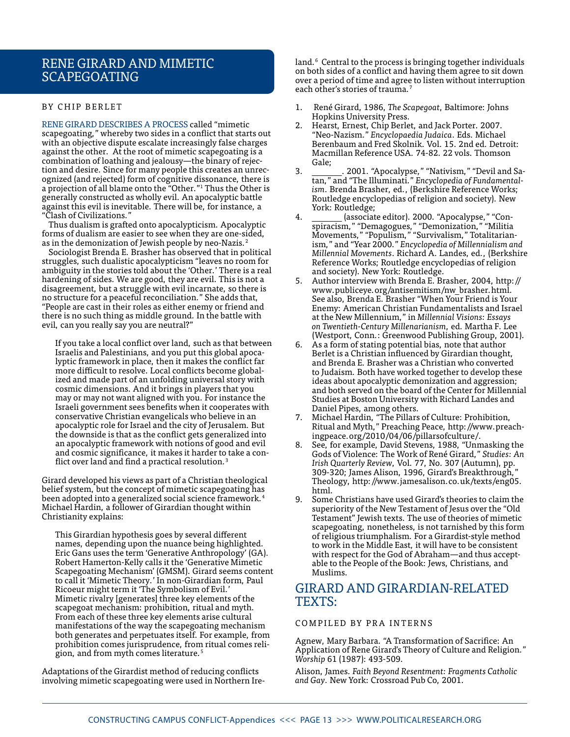### Rene Girard and Mimetic **SCAPEGOATING**

#### **BY CHIP BERLET**

Rene Girard describes a process called "mimetic scapegoating," whereby two sides in a conflict that starts out with an objective dispute escalate increasingly false charges against the other. At the root of mimetic scapegoating is a combination of loathing and jealousy—the binary of rejection and desire. Since for many people this creates an unrecognized (and rejected) form of cognitive dissonance, there is a projection of all blame onto the "Other."1 Thus the Other is generally constructed as wholly evil. An apocalyptic battle against this evil is inevitable. There will be, for instance, a "Clash of Civilizations."

Thus dualism is grafted onto apocalypticism. Apocalyptic forms of dualism are easier to see when they are one-sided, as in the demonization of Jewish people by neo-Nazis.<sup>2</sup>

Sociologist Brenda E. Brasher has observed that in political struggles, such dualistic apocalypticism "leaves no room for ambiguity in the stories told about the 'Other.' There is a real hardening of sides. We are good, they are evil. This is not a disagreement, but a struggle with evil incarnate, so there is no structure for a peaceful reconciliation." She adds that, "People are cast in their roles as either enemy or friend and there is no such thing as middle ground. In the battle with evil, can you really say you are neutral?"

If you take a local conflict over land, such as that between Israelis and Palestinians, and you put this global apocalyptic framework in place, then it makes the conflict far more difficult to resolve. Local conflicts become globalized and made part of an unfolding universal story with cosmic dimensions. And it brings in players that you may or may not want aligned with you. For instance the Israeli government sees benefits when it cooperates with conservative Christian evangelicals who believe in an apocalyptic role for Israel and the city of Jerusalem. But the downside is that as the conflict gets generalized into an apocalyptic framework with notions of good and evil and cosmic significance, it makes it harder to take a conflict over land and find a practical resolution.<sup>3</sup>

Girard developed his views as part of a Christian theological belief system, but the concept of mimetic scapegoating has been adopted into a generalized social science framework.  $\rm ^4$ Michael Hardin, a follower of Girardian thought within Christianity explains:

This Girardian hypothesis goes by several different names, depending upon the nuance being highlighted. Eric Gans uses the term 'Generative Anthropology' (GA). Robert Hamerton-Kelly calls it the 'Generative Mimetic Scapegoating Mechanism' (GMSM). Girard seems content to call it 'Mimetic Theory.' In non-Girardian form, Paul Ricoeur might term it 'The Symbolism of Evil.' Mimetic rivalry [generates] three key elements of the scapegoat mechanism: prohibition, ritual and myth. From each of these three key elements arise cultural manifestations of the way the scapegoating mechanism both generates and perpetuates itself. For example, from prohibition comes jurisprudence, from ritual comes religion, and from myth comes literature.<sup>5</sup>

Adaptations of the Girardist method of reducing conflicts involving mimetic scapegoating were used in Northern Ire-

land.<sup>6</sup> Central to the process is bringing together individuals on both sides of a conflict and having them agree to sit down over a period of time and agree to listen without interruption each other's stories of trauma.<sup>7</sup>

- 1. René Girard, 1986, *The Scapegoat*, Baltimore: Johns Hopkins University Press.
- 2. Hearst, Ernest, Chip Berlet, and Jack Porter. 2007. "Neo-Nazism." *Encyclopaedia Judaica*. Eds. Michael Berenbaum and Fred Skolnik. Vol. 15. 2nd ed. Detroit: Macmillan Reference USA. 74-82. 22 vols. Thomson Gale;
- 3. \_\_\_\_\_\_\_. 2001. "Apocalypse," "Nativism," "Devil and Satan," and "The Illuminati." *Encyclopedia of Fundamentalism*. Brenda Brasher, ed., (Berkshire Reference Works; Routledge encyclopedias of religion and society). New York: Routledge;
- 4. \_\_\_\_\_\_\_ (associate editor). 2000. "Apocalypse," "Conspiracism," "Demagogues," "Demonization," "Militia Movements," "Populism," "Survivalism," Totalitarianism," and "Year 2000." *Encyclopedia of Millennialism and Millennial Movements*. Richard A. Landes, ed., (Berkshire Reference Works; Routledge encyclopedias of religion and society). New York: Routledge.
- 5. Author interview with Brenda E. Brasher, 2004, http:// www.publiceye.org/antisemitism/nw\_brasher.html. See also, Brenda E. Brasher "When Your Friend is Your Enemy: American Christian Fundamentalists and Israel at the New Millennium," in *Millennial Visions: Essays on Twentieth-Century Millenarianism*, ed. Martha F. Lee (Westport, Conn.: Greenwood Publishing Group, 2001).
- 6. As a form of stating potential bias, note that author Berlet is a Christian influenced by Girardian thought, and Brenda E. Brasher was a Christian who converted to Judaism. Both have worked together to develop these ideas about apocalyptic demonization and aggression; and both served on the board of the Center for Millennial Studies at Boston University with Richard Landes and Daniel Pipes, among others.
- 7. Michael Hardin, "The Pillars of Culture: Prohibition, Ritual and Myth," Preaching Peace, http://www.preachingpeace.org/2010/04/06/pillarsofculture/.
- See, for example, David Stevens, 1988, "Unmasking the Gods of Violence: The Work of René Girard," *Studies: An Irish Quarterly Review*, Vol. 77, No. 307 (Autumn), pp. 309-320; James Alison, 1996, Girard's Breakthrough," Theology, http://www.jamesalison.co.uk/texts/eng05. html.
- 9. Some Christians have used Girard's theories to claim the superiority of the New Testament of Jesus over the "Old Testament" Jewish texts. The use of theories of mimetic scapegoating, nonetheless, is not tarnished by this form of religious triumphalism. For a Girardist-style method to work in the Middle East, it will have to be consistent with respect for the God of Abraham—and thus acceptable to the People of the Book: Jews, Christians, and Muslims.

### Girard and Girardian-Related TEXTS:

#### COMPILED BY PRA INTERNS

Agnew, Mary Barbara. "A Transformation of Sacrifice: An Application of Rene Girard's Theory of Culture and Religion." *Worship* 61 (1987): 493-509.

Alison, James. *Faith Beyond Resentment: Fragments Catholic and Gay*. New York: Crossroad Pub Co, 2001.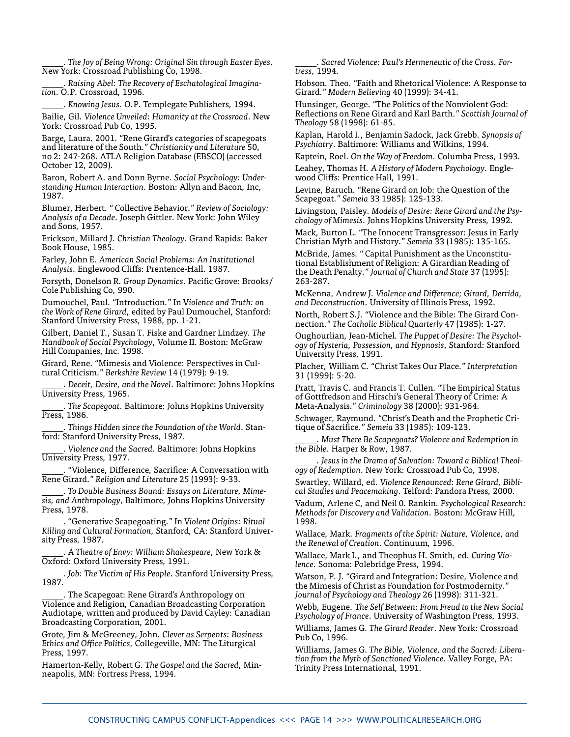\_\_\_\_\_. *The Joy of Being Wrong: Original Sin through Easter Eyes*. New York: Crossroad Publishing Co, 1998.

\_\_\_\_\_. *Raising Abel: The Recovery of Eschatological Imagination*. O.P. Crossroad, 1996.

\_\_\_\_\_. *Knowing Jesus*. O.P. Templegate Publishers, 1994.

Bailie, Gil. *Violence Unveiled: Humanity at the Crossroad*. New York: Crossroad Pub Co, 1995.

Barge, Laura. 2001. "Rene Girard's categories of scapegoats and literature of the South." *Christianity and Literature* 50, no 2: 247-268. ATLA Religion Database (EBSCO) (accessed October 12, 2009).

Baron, Robert A. and Donn Byrne. *Social Psychology: Understanding Human Interaction*. Boston: Allyn and Bacon, Inc, 1987.

Blumer, Herbert. " Collective Behavior." *Review of Sociology: Analysis of a Decade*. Joseph Gittler. New York: John Wiley and Sons, 1957.

Erickson, Millard J. *Christian Theology*. Grand Rapids: Baker Book House, 1985.

Farley, John E. *American Social Problems: An Institutional Analysis*. Englewood Cliffs: Prentence-Hall. 1987.

Forsyth, Donelson R. *Group Dynamics*. Pacific Grove: Brooks/ Cole Publishing Co, 990.

Dumouchel, Paul. "Introduction." In V*iolence and Truth: on the Work of Rene Girard*, edited by Paul Dumouchel, Stanford: Stanford University Press, 1988, pp. 1-21.

Gilbert, Daniel T., Susan T. Fiske and Gardner Lindzey. *The Handbook of Social Psychology*, Volume II. Boston: McGraw Hill Companies, Inc. 1998.

Girard, Rene. "Mimesis and Violence: Perspectives in Cultural Criticism." *Berkshire Review* 14 (1979): 9-19.

\_\_\_\_\_. *Deceit, Desire, and the Novel*. Baltimore: Johns Hopkins University Press, 1965.

\_\_\_\_\_. *The Scapegoat*. Baltimore: Johns Hopkins University Press, 1986.

\_\_\_\_\_. *Things Hidden since the Foundation of the World*. Stanford: Stanford University Press, 1987.

\_\_\_\_\_. *Violence and the Sacred*. Baltimore: Johns Hopkins University Press, 1977.

\_\_\_\_\_. "Violence, Difference, Sacrifice: A Conversation with Rene Girard." *Religion and Literature* 25 (1993): 9-33.

\_\_\_\_\_. *To Double Business Bound: Essays on Literature, Mimesis, and Anthropology*, Baltimore, Johns Hopkins University Press, 1978.

\_\_\_\_\_. "Generative Scapegoating." In *Violent Origins: Ritual Killing and Cultural Formation*, Stanford, CA: Stanford University Press, 1987.

\_\_\_\_\_. *A Theatre of Envy: William Shakespeare*, New York & Oxford: Oxford University Press, 1991.

\_\_\_\_\_. *Job: The Victim of His People*. Stanford University Press, 1987.

\_\_\_\_\_. The Scapegoat: Rene Girard's Anthropology on Violence and Religion, Canadian Broadcasting Corporation Audiotape, written and produced by David Cayley: Canadian Broadcasting Corporation, 2001.

Grote, Jim & McGreeney, John. *Clever as Serpents: Business Ethics and Office Politics*, Collegeville, MN: The Liturgical Press, 1997.

Hamerton-Kelly, Robert G. *The Gospel and the Sacred*, Minneapolis, MN: Fortress Press, 1994.

\_\_\_\_\_. *Sacred Violence: Paul's Hermeneutic of the Cross. Fortress*, 1994.

Hobson. Theo. "Faith and Rhetorical Violence: A Response to Girard." *Modern Believing* 40 (1999): 34-41.

Hunsinger, George. "The Politics of the Nonviolent God: Reflections on Rene Girard and Karl Barth." *Scottish Journal of Theology* 58 (1998): 61-85.

Kaplan, Harold I., Benjamin Sadock, Jack Grebb. *Synopsis of Psychiatry*. Baltimore: Williams and Wilkins, 1994.

Kaptein, Roel. *On the Way of Freedom*. Columba Press, 1993.

Leahey, Thomas H. *A History of Modern Psychology*. Englewood Cliffs: Prentice Hall, 1991.

Levine, Baruch. "Rene Girard on Job: the Question of the Scapegoat." *Semeia* 33 1985): 125-133.

Livingston, Paisley. *Models of Desire: Rene Girard and the Psychology of Mimesis*. Johns Hopkins University Press, 1992.

Mack, Burton L. "The Innocent Transgressor: Jesus in Early Christian Myth and History." *Semeia* 33 (1985): 135-165.

McBride, James. " Capital Punishment as the Unconstitutional Establishment of Religion: A Girardian Reading of the Death Penalty." *Journal of Church and State* 37 (1995): 263-287.

McKenna, Andrew J. *Violence and Difference; Girard, Derrida, and Deconstruction*. University of Illinois Press, 1992.

North, Robert S.J. "Violence and the Bible: The Girard Connection." *The Catholic Biblical Quarterly* 47 (1985): 1-27.

Oughourlian, Jean-Michel. *The Puppet of Desire: The Psychology of Hysteria, Possession, and Hypnosis*, Stanford: Stanford University Press, 1991.

Placher, William C. "Christ Takes Our Place." *Interpretation* 31 (1999): 5-20.

Pratt, Travis C. and Francis T. Cullen. "The Empirical Status of Gottfredson and Hirschi's General Theory of Crime: A Meta-Analysis." *Criminology* 38 (2000): 931-964.

Schwager, Raymund. "Christ's Death and the Prophetic Critique of Sacrifice." *Semeia* 33 (1985): 109-123.

\_\_\_\_\_. *Must There Be Scapegoats? Violence and Redemption in the Bible*. Harper & Row, 1987.

Jesus in the Drama of Salvation: Toward a Biblical Theol*ogy of Redemption*. New York: Crossroad Pub Co, 1998.

Swartley, Willard, ed. *Violence Renounced: Rene Girard, Biblical Studies and Peacemaking*. Telford: Pandora Press, 2000.

Vadum, Arlene C, and Neil 0. Rankin. *Psychological Research: Methods for Discovery and Validation*. Boston: McGraw Hill, 1998.

Wallace, Mark. *Fragments of the Spirit: Nature, Violence, and the Renewal of Creation*. Continuum, 1996.

Wallace, Mark I., and Theophus H. Smith, ed. *Curing Violence*. Sonoma: Polebridge Press, 1994.

Watson, P. J. "Girard and Integration: Desire, Violence and the Mimesis of Christ as Foundation for Postmodernity." *Journal of Psychology and Theology* 26 (1998): 311-321.

Webb, Eugene. T*he Self Between: From Freud to the New Social Psychology of France*. University of Washington Press, 1993.

Williams, James G. *The Girard Reader*. New York: Crossroad Pub Co, 1996.

Williams, James G. *The Bible, Violence, and the Sacred: Liberation from the Myth of Sanctioned Violence*. Valley Forge, PA: Trinity Press International, 1991.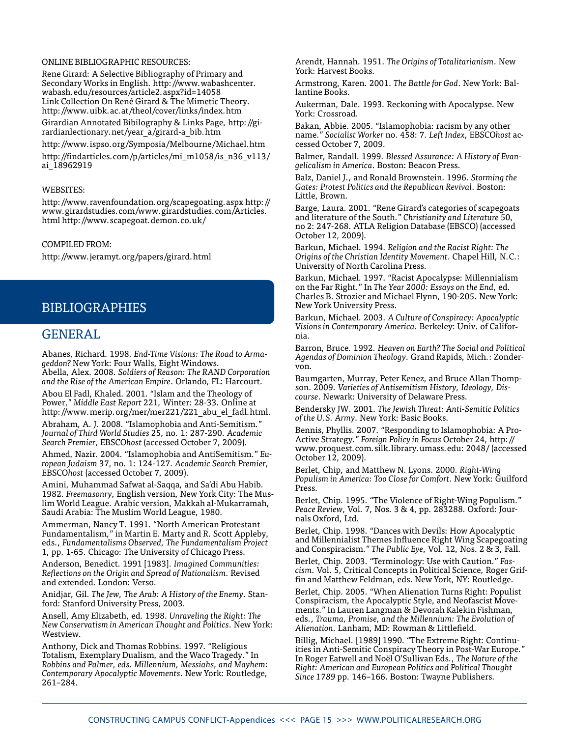#### Online Bibliographic Resources:

Rene Girard: A Selective Bibliography of Primary and Secondary Works in English. http://www.wabashcenter. wabash.edu/resources/article2.aspx?id=14058 Link Collection On René Girard & The Mimetic Theory. http://www.uibk.ac.at/theol/cover/links/index.htm

Girardian Annotated Bibilography & Links Page, http://girardianlectionary.net/year a/girard-a bib.htm

http://www.ispso.org/Symposia/Melbourne/Michael.htm http://findarticles.com/p/articles/mi\_m1058/is\_n36\_v113/ ai\_18962919

#### WEBSITES:

http://www.ravenfoundation.org/scapegoating.aspx http:// www.girardstudies.com/www.girardstudies.com/Articles. html http://www.scapegoat.demon.co.uk/

#### Compiled from:

http://www.jeramyt.org/papers/girard.html

### Bibliographies

#### GENERAL.

Abanes, Richard. 1998. *End-Time Visions: The Road to Armageddon?* New York: Four Walls, Eight Windows. Abella, Alex. 2008. *Soldiers of Reason: The RAND Corporation* 

*and the Rise of the American Empire*. Orlando, FL: Harcourt. Abou El Fadl, Khaled. 2001. "Islam and the Theology of Power," *Middle East Report* 221, Winter: 28-33. Online at http://www.merip.org/mer/mer221/221\_abu\_el\_fadl.html.

Abraham, A. J. 2008. "Islamophobia and Anti-Semitism." *Journal of Third World Studies* 25, no. 1: 287-290. *Academic Search Premier*, EBSCO*host* (accessed October 7, 2009).

Ahmed, Nazir. 2004. "Islamophobia and AntiSemitism." *European Judaism* 37, no. 1: 124-127. *Academic Search Premier*, EBSCO*host* (accessed October 7, 2009).

Amini, Muhammad Safwat al-Saqqa, and Sa'di Abu Habib. 1982. *Freemasonry*, English version, New York City: The Muslim World League. Arabic version, Makkah al-Mukarramah, Saudi Arabia: The Muslim World League, 1980.

Ammerman, Nancy T. 1991. "North American Protestant Fundamentalism," in Martin E. Marty and R. Scott Appleby, eds., *Fundamentalisms Observed, The Fundamentalism Project* 1, pp. 1-65. Chicago: The University of Chicago Press.

Anderson, Benedict. 1991 [1983]. *Imagined Communities: Reflections on the Origin and Spread of Nationalism*. Revised and extended. London: Verso.

Anidjar, Gil. *The Jew, The Arab: A History of the Enemy*. Stanford: Stanford University Press, 2003.

Ansell, Amy Elizabeth, ed. 1998. *Unraveling the Right: The New Conservatism in American Thought and Politics*. New York: Westview.

Anthony, Dick and Thomas Robbins. 1997. "Religious Totalism, Exemplary Dualism, and the Waco Tragedy." In *Robbins and Palmer, eds. Millennium, Messiahs, and Mayhem: Contemporary Apocalyptic Movements*. New York: Routledge, 261–284.

Arendt, Hannah. 1951. *The Origins of Totalitarianism*. New York: Harvest Books.

Armstrong, Karen. 2001. *The Battle for God*. New York: Ballantine Books.

Aukerman, Dale. 1993. Reckoning with Apocalypse. New York: Crossroad.

Bakan, Abbie. 2005. "Islamophobia: racism by any other name." *Socialist Worker* no. 458: 7. *Left Index*, EBSCO*host* accessed October 7, 2009.

Balmer, Randall. 1999. *Blessed Assurance: A History of Evangelicalism in America*. Boston: Beacon Press.

Balz, Daniel J., and Ronald Brownstein. 1996. *Storming the Gates: Protest Politics and the Republican Revival*. Boston: Little, Brown.

Barge, Laura. 2001. "Rene Girard's categories of scapegoats and literature of the South." *Christianity and Literature* 50, no 2: 247-268. ATLA Religion Database (EBSCO) (accessed October 12, 2009).

Barkun, Michael. 1994. *Religion and the Racist Right: The Origins of the Christian Identity Movement*. Chapel Hill, N.C.: University of North Carolina Press.

Barkun, Michael. 1997. "Racist Apocalypse: Millennialism on the Far Right." In *The Year 2000: Essays on the End*, ed. Charles B. Strozier and Michael Flynn, 190-205. New York: New York University Press.

Barkun, Michael. 2003. *A Culture of Conspiracy: Apocalyptic Visions in Contemporary America*. Berkeley: Univ. of California.

Barron, Bruce. 1992. *Heaven on Earth? The Social and Political Agendas of Dominion Theology*. Grand Rapids, Mich.: Zondervon.

Baumgarten, Murray, Peter Kenez, and Bruce Allan Thompson. 2009. *Varieties of Antisemitism History, Ideology, Discourse*. Newark: University of Delaware Press.

Bendersky JW. 2001. *The Jewish Threat: Anti-Semitic Politics of the U.S. Army*. New York: Basic Books.

Bennis, Phyllis. 2007. "Responding to Islamophobia: A Pro-Active Strategy." *Foreign Policy in Focus* October 24, http:// www.proquest.com.silk.library.umass.edu: 2048/ (accessed October 12, 2009).

Berlet, Chip, and Matthew N. Lyons. 2000. *Right-Wing Populism in America: Too Close for Comfort*. New York: Guilford Press.

Berlet, Chip. 1995. "The Violence of Right-Wing Populism." *Peace Review*, Vol. 7, Nos. 3 & 4, pp. 283288. Oxford: Journals Oxford, Ltd.

Berlet, Chip. 1998. "Dances with Devils: How Apocalyptic and Millennialist Themes Influence Right Wing Scapegoating and Conspiracism." *The Public Eye*, Vol. 12, Nos. 2 & 3, Fall.

Berlet, Chip. 2003. "Terminology: Use with Caution." *Fascism*. Vol. 5, Critical Concepts in Political Science, Roger Griffin and Matthew Feldman, eds. New York, NY: Routledge.

Berlet, Chip. 2005. "When Alienation Turns Right: Populist Conspiracism, the Apocalyptic Style, and Neofascist Movements." In Lauren Langman & Devorah Kalekin Fishman, eds., *Trauma, Promise, and the Millennium: The Evolution of Alienation*. Lanham, MD: Rowman & Littlefield.

Billig, Michael. [1989] 1990. "The Extreme Right: Continuities in Anti-Semitic Conspiracy Theory in Post-War Europe." In Roger Eatwell and Noël O'Sullivan Eds., *The Nature of the Right: American and European Politics and Political Thought Since 1789* pp. 146–166. Boston: Twayne Publishers.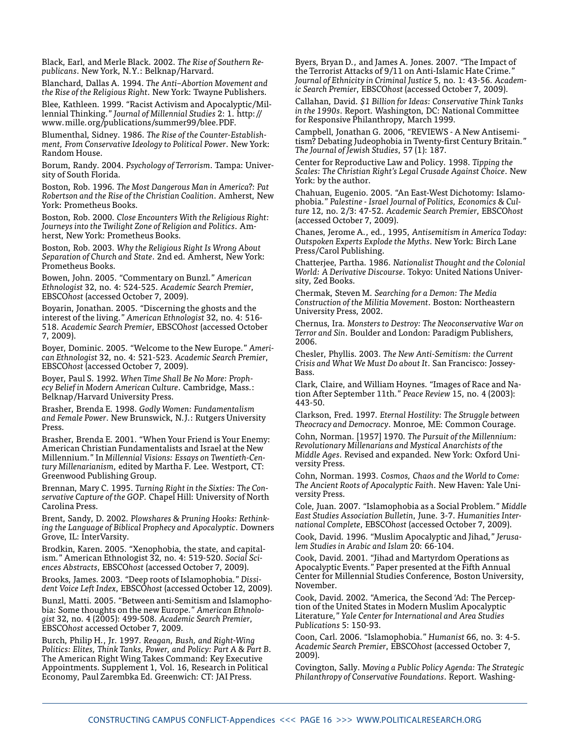Black, Earl, and Merle Black. 2002. *The Rise of Southern Republicans*. New York, N.Y.: Belknap/Harvard.

Blanchard, Dallas A. 1994. *The Anti–Abortion Movement and the Rise of the Religious Right*. New York: Twayne Publishers.

Blee, Kathleen. 1999. "Racist Activism and Apocalyptic/Millennial Thinking." *Journal of Millennial Studies* 2: 1. http:// www.mille.org/publications/summer99/blee.PDF.

Blumenthal, Sidney. 1986. *The Rise of the Counter-Establishment, From Conservative Ideology to Political Power*. New York: Random House.

Borum, Randy. 2004. *Psychology of Terrorism*. Tampa: University of South Florida.

Boston, Rob. 1996. *The Most Dangerous Man in America?: Pat Robertson and the Rise of the Christian Coalition*. Amherst, New York: Prometheus Books.

Boston, Rob. 2000. *Close Encounters With the Religious Right: Journeys into the Twilight Zone of Religion and Politics*. Amherst, New York: Prometheus Books.

Boston, Rob. 2003. *Why the Religious Right Is Wrong About Separation of Church and State*. 2nd ed. Amherst, New York: Prometheus Books.

Bowen, John. 2005. "Commentary on Bunzl." *American Ethnologist* 32, no. 4: 524-525. *Academic Search Premier*, EBSCO*host* (accessed October 7, 2009).

Boyarin, Jonathan. 2005. "Discerning the ghosts and the interest of the living." *American Ethnologist* 32, no. 4: 516- 518. *Academic Search Premier*, EBSCO*host* (accessed October 7, 2009).

Boyer, Dominic. 2005. "Welcome to the New Europe." *American Ethnologist* 32, no. 4: 521-523. *Academic Search Premier*, EBSCO*host* (accessed October 7, 2009).

Boyer, Paul S. 1992. *When Time Shall Be No More: Prophecy Belief in Modern American Culture*. Cambridge, Mass.: Belknap/Harvard University Press.

Brasher, Brenda E. 1998. *Godly Women: Fundamentalism and Female Power*. New Brunswick, N.J.: Rutgers University Press.

Brasher, Brenda E. 2001. "When Your Friend is Your Enemy: American Christian Fundamentalists and Israel at the New Millennium." In *Millennial Visions: Essays on Twentieth-Century Millenarianism*, edited by Martha F. Lee. Westport, CT: Greenwood Publishing Group.

Brennan, Mary C. 1995. *Turning Right in the Sixties: The Conservative Capture of the GOP*. Chapel Hill: University of North Carolina Press.

Brent, Sandy, D. 2002. *Plowshares & Pruning Hooks: Rethinking the Language of Biblical Prophecy and Apocalyptic*. Downers Grove, IL: InterVarsity.

Brodkin, Karen. 2005. "Xenophobia, the state, and capitalism." American Ethnologist 32, no. 4: 519-520. *Social Sciences Abstracts*, EBSCO*host* (accessed October 7, 2009).

Brooks, James. 2003. "Deep roots of Islamophobia." *Dissident Voice Left Index*, EBSCO*host* (accessed October 12, 2009).

Bunzl, Matti. 2005. "Between anti-Semitism and Islamophobia: Some thoughts on the new Europe." *American Ethnologist* 32, no. 4 (2005): 499-508. *Academic Search Premier*, EBSCO*host* accessed October 7, 2009.

Burch, Philip H., Jr. 1997. *Reagan, Bush, and Right-Wing Politics: Elites, Think Tanks, Power, and Policy: Part A & Part B*. The American Right Wing Takes Command: Key Executive Appointments. Supplement 1, Vol. 16, Research in Political Economy, Paul Zarembka Ed. Greenwich: CT: JAI Press.

Byers, Bryan D., and James A. Jones. 2007. "The Impact of the Terrorist Attacks of 9/11 on Anti-Islamic Hate Crime." *Journal of Ethnicity in Criminal Justice* 5, no. 1: 43-56. *Academic Search Premier*, EBSCO*host* (accessed October 7, 2009).

Callahan, David. *\$1 Billion for Ideas: Conservative Think Tanks in the 1990s*. Report. Washington, DC: National Committee for Responsive Philanthropy, March 1999.

Campbell, Jonathan G. 2006, "REVIEWS - A New Antisemitism? Debating Judeophobia in Twenty-first Century Britain." *The Journal of Jewish Studies*, 57 (1): 187.

Center for Reproductive Law and Policy. 1998. *Tipping the Scales: The Christian Right's Legal Crusade Against Choice*. New York: by the author.

Chahuan, Eugenio. 2005. "An East-West Dichotomy: Islamophobia." *Palestine - Israel Journal of Politics, Economics & Culture* 12, no. 2/3: 47-52. *Academic Search Premier*, EBSCO*host* (accessed October 7, 2009).

Chanes, Jerome A., ed., 1995, *Antisemitism in America Today: Outspoken Experts Explode the Myths*. New York: Birch Lane Press/Carol Publishing.

Chatterjee, Partha. 1986. *Nationalist Thought and the Colonial World: A Derivative Discourse*. Tokyo: United Nations University, Zed Books.

Chermak, Steven M. *Searching for a Demon: The Media Construction of the Militia Movement*. Boston: Northeastern University Press, 2002.

Chernus, Ira. *Monsters to Destroy: The Neoconservative War on Terror and Sin*. Boulder and London: Paradigm Publishers, 2006.

Chesler, Phyllis. 2003. *The New Anti-Semitism: the Current Crisis and What We Must Do about It*. San Francisco: Jossey-Bass.

Clark, Claire, and William Hoynes. "Images of Race and Nation After September 11th." *Peace Review* 15, no. 4 (2003): 443-50.

Clarkson, Fred. 1997. *Eternal Hostility: The Struggle between Theocracy and Democracy*. Monroe, ME: Common Courage.

Cohn, Norman. [1957] 1970. *The Pursuit of the Millennium: Revolutionary Millenarians and Mystical Anarchists of the Middle Ages*. Revised and expanded. New York: Oxford University Press.

Cohn, Norman. 1993. *Cosmos, Chaos and the World to Come: The Ancient Roots of Apocalyptic Faith*. New Haven: Yale University Press.

Cole, Juan. 2007. "Islamophobia as a Social Problem." *Middle East Studies Association Bulletin*, June. 3-7. *Humanities International Complete*, EBSCO*host* (accessed October 7, 2009).

Cook, David. 1996. "Muslim Apocalyptic and Jihad," *Jerusalem Studies in Arabic and Islam* 20: 66-104.

Cook, David. 2001. "Jihad and Martyrdom Operations as Apocalyptic Events." Paper presented at the Fifth Annual Center for Millennial Studies Conference, Boston University, November.

Cook, David. 2002. "America, the Second 'Ad: The Perception of the United States in Modern Muslim Apocalyptic Literature," *Yale Center for International and Area Studies Publications* 5: 150-93.

Coon, Carl. 2006. "Islamophobia." *Humanist* 66, no. 3: 4-5. *Academic Search Premier*, EBSCO*host* (accessed October 7, 2009).

Covington, Sally. M*oving a Public Policy Agenda: The Strategic Philanthropy of Conservative Foundations*. Report. Washing-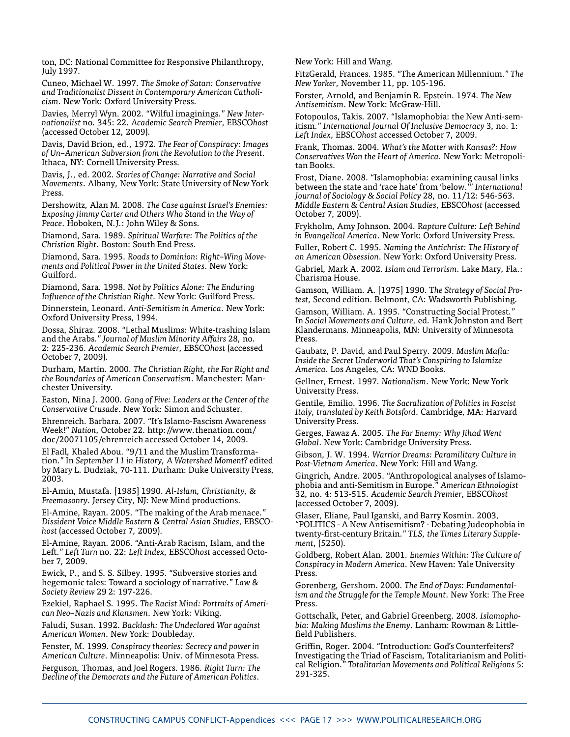ton, DC: National Committee for Responsive Philanthropy, July 1997.

Cuneo, Michael W. 1997. *The Smoke of Satan: Conservative and Traditionalist Dissent in Contemporary American Catholicism*. New York: Oxford University Press.

Davies, Merryl Wyn. 2002. "Wilful imaginings." *New Internationalist* no. 345: 22. *Academic Search Premier*, EBSCO*host* (accessed October 12, 2009).

Davis, David Brion, ed., 1972. *The Fear of Conspiracy: Images of Un–American Subversion from the Revolution to the Present*. Ithaca, NY: Cornell University Press.

Davis, J., ed. 2002. *Stories of Change: Narrative and Social Movements*. Albany, New York: State University of New York Press.

Dershowitz, Alan M. 2008. *The Case against Israel's Enemies: Exposing Jimmy Carter and Others Who Stand in the Way of Peace*. Hoboken, N.J.: John Wiley & Sons.

Diamond, Sara. 1989. *Spiritual Warfare: The Politics of the Christian Right*. Boston: South End Press.

Diamond, Sara. 1995. *Roads to Dominion: Right–Wing Movements and Political Power in the United States*. New York: Guilford.

Diamond, Sara. 1998. *Not by Politics Alone: The Enduring Influence of the Christian Right*. New York: Guilford Press.

Dinnerstein, Leonard. *Anti-Semitism in America*. New York: Oxford University Press, 1994.

Dossa, Shiraz. 2008. "Lethal Muslims: White-trashing Islam and the Arabs." *Journal of Muslim Minority Affairs* 28, no. 2: 225-236. *Academic Search Premier*, EBSCO*host* (accessed October 7, 2009).

Durham, Martin. 2000. *The Christian Right, the Far Right and the Boundaries of American Conservatism*. Manchester: Manchester University.

Easton, Nina J. 2000. *Gang of Five: Leaders at the Center of the Conservative Crusade*. New York: Simon and Schuster.

Ehrenreich. Barbara. 2007. "It's Islamo-Fascism Awareness Week!" *Nation*, October 22. http://www.thenation.com/ doc/20071105/ehrenreich accessed October 14, 2009.

El Fadl, Khaled Abou. "9/11 and the Muslim Transformation." In *September 11 in History, A Watershed Moment?* edited by Mary L. Dudziak, 70-111. Durham: Duke University Press, 2003.

El-Amin, Mustafa. [1985] 1990. *Al-Islam, Christianity, & Freemasonry*. Jersey City, NJ: New Mind productions.

El-Amine, Rayan. 2005. "The making of the Arab menace." *Dissident Voice Middle Eastern & Central Asian Studies*, EBSCO*host* (accessed October 7, 2009).

El-Amine, Rayan. 2006. "Anti-Arab Racism, Islam, and the Left." *Left Turn* no. 22: *Left Index*, EBSCO*host* accessed October 7, 2009.

Ewick, P., and S. S. Silbey. 1995. "Subversive stories and hegemonic tales: Toward a sociology of narrative." *Law & Society Review* 29 2: 197-226.

Ezekiel, Raphael S. 1995. *The Racist Mind: Portraits of American Neo–Nazis and Klansmen*. New York: Viking.

Faludi, Susan. 1992. *Backlash: The Undeclared War against American Women*. New York: Doubleday.

Fenster, M. 1999. *Conspiracy theories: Secrecy and power in American Culture*. Minneapolis: Univ. of Minnesota Press. Ferguson, Thomas, and Joel Rogers. 1986. *Right Turn: The Decline of the Democrats and the Future of American Politics*.

New York: Hill and Wang.

FitzGerald, Frances. 1985. "The American Millennium." *The New Yorker*, November 11, pp. 105-196.

Forster, Arnold, and Benjamin R. Epstein. 1974. *The New Antisemitism*. New York: McGraw-Hill.

Fotopoulos, Takis. 2007. "Islamophobia: the New Anti-semitism." *International Journal Of Inclusive Democracy* 3, no. 1: *Left Index*, EBSCO*host* accessed October 7, 2009.

Frank, Thomas. 2004. *What's the Matter with Kansas?: How Conservatives Won the Heart of America*. New York: Metropolitan Books.

Frost, Diane. 2008. "Islamophobia: examining causal links between the state and 'race hate' from 'below.'" *International Journal of Sociology & Social Policy* 28, no. 11/12: 546-563. *Middle Eastern & Central Asian Studies*, EBSCO*host* (accessed October 7, 2009).

Frykholm, Amy Johnson. 2004. R*apture Culture: Left Behind in Evangelical America*. New York: Oxford University Press.

Fuller, Robert C. 1995. *Naming the Antichrist: The History of an American Obsession*. New York: Oxford University Press.

Gabriel, Mark A. 2002. *Islam and Terrorism*. Lake Mary, Fla.: Charisma House.

Gamson, William. A. [1975] 1990. T*he Strategy of Social Protest*, Second edition. Belmont, CA: Wadsworth Publishing.

Gamson, William. A. 1995. "Constructing Social Protest." In *Social Movements and Culture*, ed. Hank Johnston and Bert Klandermans. Minneapolis, MN: University of Minnesota Press.

Gaubatz, P. David, and Paul Sperry. 2009. *Muslim Mafia: Inside the Secret Underworld That's Conspiring to Islamize America*. Los Angeles, CA: WND Books.

Gellner, Ernest. 1997. *Nationalism*. New York: New York University Press.

Gentile, Emilio. 1996. *The Sacralization of Politics in Fascist Italy, translated by Keith Botsford*. Cambridge, MA: Harvard University Press.

Gerges, Fawaz A. 2005. *The Far Enemy: Why Jihad Went Global*. New York: Cambridge University Press.

Gibson, J. W. 1994. *Warrior Dreams: Paramilitary Culture in Post-Vietnam America*. New York: Hill and Wang.

Gingrich, Andre. 2005. "Anthropological analyses of Islamophobia and anti-Semitism in Europe." *American Ethnologist* 32, no. 4: 513-515. *Academic Search Premier*, EBSCO*host*  (accessed October 7, 2009).

Glaser, Eliane, Paul Iganski, and Barry Kosmin. 2003, "POLITICS - A New Antisemitism? - Debating Judeophobia in twenty-first-century Britain." *TLS, the Times Literary Supplement*, (5250).

Goldberg, Robert Alan. 2001. *Enemies Within: The Culture of Conspiracy in Modern America*. New Haven: Yale University Press.

Gorenberg, Gershom. 2000. *The End of Days: Fundamentalism and the Struggle for the Temple Mount*. New York: The Free Press.

Gottschalk, Peter, and Gabriel Greenberg. 2008. *Islamophobia: Making Muslims the Enemy*. Lanham: Rowman & Littlefield Publishers.

Griffin, Roger. 2004. "Introduction: God's Counterfeiters? Investigating the Triad of Fascism, Totalitarianism and Political Religion." *Totalitarian Movements and Political Religions* 5: 291-325.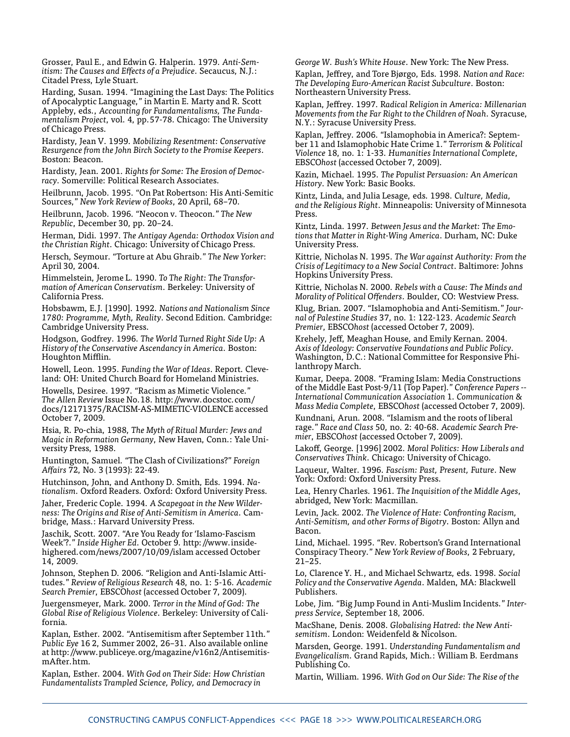Grosser, Paul E., and Edwin G. Halperin. 1979. *Anti-Semitism: The Causes and Effects of a Prejudice*. Secaucus, N.J.: Citadel Press, Lyle Stuart.

Harding, Susan. 1994. "Imagining the Last Days: The Politics of Apocalyptic Language," in Martin E. Marty and R. Scott Appleby, eds., *Accounting for Fundamentalisms, The Fundamentalism Project*, vol. 4, pp.57-78. Chicago: The University of Chicago Press.

Hardisty, Jean V. 1999. *Mobilizing Resentment: Conservative Resurgence from the John Birch Society to the Promise Keepers*. Boston: Beacon.

Hardisty, Jean. 2001. *Rights for Some: The Erosion of Democracy.* Somerville: Political Research Associates.

Heilbrunn, Jacob. 1995. "On Pat Robertson: His Anti-Semitic Sources," *New York Review of Books*, 20 April, 68–70.

Heilbrunn, Jacob. 1996. "Neocon v. Theocon." *The New Republic*, December 30, pp. 20–24.

Herman, Didi. 1997. *The Antigay Agenda: Orthodox Vision and the Christian Right*. Chicago: University of Chicago Press.

Hersch, Seymour. "Torture at Abu Ghraib." *The New Yorker*: April 30, 2004.

Himmelstein, Jerome L. 1990. *To The Right: The Transformation of American Conservatism*. Berkeley: University of California Press.

Hobsbawm, E.J. [1990]. 1992. *Nations and Nationalism Since 1780: Programme, Myth, Reality*. Second Edition. Cambridge: Cambridge University Press.

Hodgson, Godfrey. 1996. *The World Turned Right Side Up: A History of the Conservative Ascendancy in America*. Boston: Houghton Mifflin.

Howell, Leon. 1995. *Funding the War of Ideas*. Report. Cleveland: OH: United Church Board for Homeland Ministries.

Howells, Desiree. 1997. "Racism as Mimetic Violence." *The Allen Review* Issue No.18. http://www.docstoc.com/ docs/12171375/RACISM-AS-MIMETIC-VIOLENCE accessed October 7, 2009.

Hsia, R. Po-chia, 1988, *The Myth of Ritual Murder: Jews and Magic in Reformation Germany*, New Haven, Conn.: Yale University Press, 1988.

Huntington, Samuel. "The Clash of Civilizations?" *Foreign Affairs* 72, No. 3 (1993): 22-49.

Hutchinson, John, and Anthony D. Smith, Eds. 1994. *Nationalism.* Oxford Readers. Oxford: Oxford University Press.

Jaher, Frederic Cople. 1994. *A Scapegoat in the New Wilderness: The Origins and Rise of Anti-Semitism in America*. Cambridge, Mass.: Harvard University Press.

Jaschik, Scott. 2007. "Are You Ready for 'Islamo-Fascism Week'?." *Inside Higher Ed*. October 9. http://www.insidehighered.com/news/2007/10/09/islam accessed October 14, 2009.

Johnson, Stephen D. 2006. "Religion and Anti-Islamic Attitudes." *Review of Religious Research* 48, no. 1: 5-16. *Academic Search Premier*, EBSCO*host* (accessed October 7, 2009).

Juergensmeyer, Mark. 2000. *Terror in the Mind of God: The Global Rise of Religious Violence*. Berkeley: University of California.

Kaplan, Esther. 2002. "Antisemitism after September 11th." *Public Eye* 16 2, Summer 2002, 26–31. Also available online at http://www.publiceye.org/magazine/v16n2/AntisemitismAfter.htm.

Kaplan, Esther. 2004. *With God on Their Side: How Christian Fundamentalists Trampled Science, Policy, and Democracy in* 

*George W. Bush's White House*. New York: The New Press.

Kaplan, Jeffrey, and Tore Bjørgo, Eds. 1998. *Nation and Race: The Developing Euro-American Racist Subculture*. Boston: Northeastern University Press.

Kaplan, Jeffrey. 1997. R*adical Religion in America: Millenarian Movements from the Far Right to the Children of Noah*. Syracuse, N.Y.: Syracuse University Press.

Kaplan, Jeffrey. 2006. "Islamophobia in America?: September 11 and Islamophobic Hate Crime 1." *Terrorism & Political Violence* 18, no. 1: 1-33. *Humanities International Complete*, EBSCO*host* (accessed October 7, 2009).

Kazin, Michael. 1995. *The Populist Persuasion: An American History*. New York: Basic Books.

Kintz, Linda, and Julia Lesage, eds. 1998. *Culture, Media, and the Religious Right*. Minneapolis: University of Minnesota Press.

Kintz, Linda. 1997. *Between Jesus and the Market: The Emotions that Matter in Right-Wing America*. Durham, NC: Duke University Press.

Kittrie, Nicholas N. 1995. *The War against Authority: From the Crisis of Legitimacy to a New Social Contract*. Baltimore: Johns Hopkins University Press.

Kittrie, Nicholas N. 2000. *Rebels with a Cause: The Minds and Morality of Political Offenders*. Boulder, CO: Westview Press.

Klug, Brian. 2007. "Islamophobia and Anti-Semitism." *Journal of Palestine Studies* 37, no. 1: 122-123. *Academic Search Premier*, EBSCO*host* (accessed October 7, 2009).

Krehely, Jeff, Meaghan House, and Emily Kernan. 2004. *Axis of Ideology: Conservative Foundations and Public Policy*. Washington, D.C.: National Committee for Responsive Philanthropy March.

Kumar, Deepa. 2008. "Framing Islam: Media Constructions of the Middle East Post-9/11 (Top Paper)." *Conference Papers -- International Communication Association* 1. *Communication & Mass Media Complete*, EBSCO*host* (accessed October 7, 2009).

Kundnani, Arun. 2008. "Islamism and the roots of liberal rage." *Race and Class* 50, no. 2: 40-68. *Academic Search Premier*, EBSCO*host* (accessed October 7, 2009).

Lakoff, George. [1996] 2002. *Moral Politics: How Liberals and Conservatives Think*. Chicago: University of Chicago.

Laqueur, Walter. 1996. *Fascism: Past, Present, Future*. New York: Oxford: Oxford University Press.

Lea, Henry Charles. 1961. *The Inquisition of the Middle Ages*, abridged, New York: Macmillan.

Levin, Jack. 2002. *The Violence of Hate: Confronting Racism, Anti-Semitism, and other Forms of Bigotry*. Boston: Allyn and Bacon.

Lind, Michael. 1995. "Rev. Robertson's Grand International Conspiracy Theory." *New York Review of Books*, 2 February, 21–25.

Lo, Clarence Y. H., and Michael Schwartz, eds. 1998. *Social Policy and the Conservative Agenda*. Malden, MA: Blackwell Publishers.

Lobe, Jim. "Big Jump Found in Anti-Muslim Incidents." *Interpress Service*, September 18, 2006.

MacShane, Denis. 2008. *Globalising Hatred: the New Antisemitism*. London: Weidenfeld & Nicolson.

Marsden, George. 1991. *Understanding Fundamentalism and Evangelicalism*. Grand Rapids, Mich.: William B. Eerdmans Publishing Co.

Martin, William. 1996. *With God on Our Side: The Rise of the*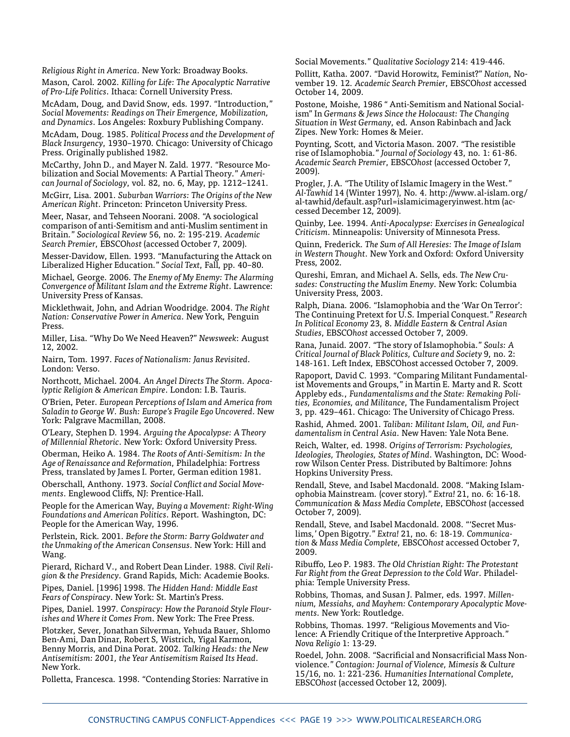*Religious Right in America*. New York: Broadway Books.

Mason, Carol. 2002. *Killing for Life: The Apocalyptic Narrative of Pro-Life Politics*. Ithaca: Cornell University Press.

McAdam, Doug, and David Snow, eds. 1997. "Introduction," *Social Movements: Readings on Their Emergence, Mobilization, and Dynamics*. Los Angeles: Roxbury Publishing Company.

McAdam, Doug. 1985. *Political Process and the Development of Black Insurgency*, 1930–1970. Chicago: University of Chicago Press. Originally published 1982.

McCarthy, John D., and Mayer N. Zald. 1977. "Resource Mobilization and Social Movements: A Partial Theory." *American Journal of Sociology*, vol. 82, no. 6, May, pp. 1212–1241.

McGirr, Lisa. 2001. *Suburban Warriors: The Origins of the New American Right*. Princeton: Princeton University Press.

Meer, Nasar, and Tehseen Noorani. 2008. "A sociological comparison of anti-Semitism and anti-Muslim sentiment in Britain." *Sociological Review* 56, no. 2: 195-219. *Academic Search Premier*, EBSCO*host* (accessed October 7, 2009).

Messer-Davidow, Ellen. 1993. "Manufacturing the Attack on Liberalized Higher Education." *Social Text*, Fall, pp. 40–80.

Michael, George. 2006. *The Enemy of My Enemy: The Alarming Convergence of Militant Islam and the Extreme Right*. Lawrence: University Press of Kansas.

Micklethwait, John, and Adrian Woodridge. 2004. *The Right Nation: Conservative Power in America*. New York, Penguin Press.

Miller, Lisa. "Why Do We Need Heaven?" *Newsweek*: August 12, 2002.

Nairn, Tom. 1997. *Faces of Nationalism: Janus Revisited*. London: Verso.

Northcott, Michael. 2004. *An Angel Directs The Storm. Apocalyptic Religion & American Empire*. London: I.B. Tauris.

O'Brien, Peter. *European Perceptions of Islam and America from Saladin to George W. Bush: Europe's Fragile Ego Uncovered*. New York: Palgrave Macmillan, 2008.

O'Leary, Stephen D. 1994. *Arguing the Apocalypse: A Theory of Millennial Rhetoric*. New York: Oxford University Press.

Oberman, Heiko A. 1984. *The Roots of Anti-Semitism: In the Age of Renaissance and Reformation*, Philadelphia: Fortress Press, translated by James I. Porter, German edition 1981.

Oberschall, Anthony. 1973. *Social Conflict and Social Movements*. Englewood Cliffs, NJ: Prentice-Hall.

People for the American Way, *Buying a Movement: Right-Wing Foundations and American Politics*. Report. Washington, DC: People for the American Way, 1996.

Perlstein, Rick. 2001. *Before the Storm: Barry Goldwater and the Unmaking of the American Consensus*. New York: Hill and Wang.

Pierard, Richard V., and Robert Dean Linder. 1988. *Civil Religion & the Presidency*. Grand Rapids, Mich: Academie Books.

Pipes, Daniel. [1996] 1998. *The Hidden Hand: Middle East Fears of Conspiracy*. New York: St. Martin's Press.

Pipes, Daniel. 1997. *Conspiracy: How the Paranoid Style Flourishes and Where it Comes From*. New York: The Free Press.

Plotzker, Sever, Jonathan Silverman, Yehuda Bauer, Shlomo Ben-Ami, Dan Dinar, Robert S, Wistrich, Yigal Karmon, Benny Morris, and Dina Porat. 2002. *Talking Heads: the New Antisemitism: 2001, the Year Antisemitism Raised Its Head*. New York.

Polletta, Francesca. 1998. "Contending Stories: Narrative in

Social Movements." *Qualitative Sociology* 214: 419-446.

Pollitt, Katha. 2007. "David Horowitz, Feminist?" *Nation*, November 19. 12. *Academic Search Premier*, EBSCO*host* accessed October 14, 2009.

Postone, Moishe, 1986 " Anti-Semitism and National Socialism" In *Germans & Jews Since the Holocaust: The Changing Situation in West Germany*, ed. Anson Rabinbach and Jack Zipes. New York: Homes & Meier.

Poynting, Scott, and Victoria Mason. 2007. "The resistible rise of Islamophobia." *Journal of Sociology* 43, no. 1: 61-86. *Academic Search Premier*, EBSCO*host* (accessed October 7, 2009).

Progler, J.A. "The Utility of Islamic Imagery in the West." *Al-Tawhid* 14 (Winter 1997), No. 4. http://www.al-islam.org/ al-tawhid/default.asp?url=islamicimageryinwest.htm (accessed December 12, 2009).

Quinby, Lee. 1994. *Anti-Apocalypse: Exercises in Genealogical Criticism*. Minneapolis: University of Minnesota Press.

Quinn, Frederick. *The Sum of All Heresies: The Image of Islam in Western Thought*. New York and Oxford: Oxford University Press, 2002.

Qureshi, Emran, and Michael A. Sells, eds. *The New Crusades: Constructing the Muslim Enemy*. New York: Columbia University Press, 2003.

Ralph, Diana. 2006. "Islamophobia and the 'War On Terror': The Continuing Pretext for U.S. Imperial Conquest." *Research In Political Economy* 23, 8. *Middle Eastern & Central Asian Studies*, EBSCO*host* accessed October 7, 2009.

Rana, Junaid. 2007. "The story of Islamophobia." *Souls: A Critical Journal of Black Politics, Culture and Society* 9, no. 2: 148-161. Left Index, EBSCOhost accessed October 7, 2009.

Rapoport, David C. 1993. "Comparing Militant Fundamentalist Movements and Groups," in Martin E. Marty and R. Scott Appleby eds., *Fundamentalisms and the State: Remaking Polities, Economies, and Militance*, The Fundamentalism Project 3, pp. 429–461. Chicago: The University of Chicago Press.

Rashid, Ahmed. 2001. *Taliban: Militant Islam, Oil, and Fundamentalism in Central Asia*. New Haven: Yale Nota Bene.

Reich, Walter, ed. 1998. *Origins of Terrorism: Psychologies, Ideologies, Theologies, States of Mind*. Washington, DC: Woodrow Wilson Center Press. Distributed by Baltimore: Johns Hopkins University Press.

Rendall, Steve, and Isabel Macdonald. 2008. "Making Islamophobia Mainstream. (cover story)." *Extra!* 21, no. 6: 16-18. *Communication & Mass Media Complete*, EBSCO*host* (accessed October 7, 2009).

Rendall, Steve, and Isabel Macdonald. 2008. "'Secret Muslims,' Open Bigotry." *Extra!* 21, no. 6: 18-19. *Communication & Mass Media Complete*, EBSCO*host* accessed October 7, 2009.

Ribuffo, Leo P. 1983. *The Old Christian Right: The Protestant Far Right from the Great Depression to the Cold War*. Philadelphia: Temple University Press.

Robbins, Thomas, and Susan J. Palmer, eds. 1997. *Millennium, Messiahs, and Mayhem: Contemporary Apocalyptic Movements*. New York: Routledge.

Robbins, Thomas. 1997. "Religious Movements and Violence: A Friendly Critique of the Interpretive Approach." *Nova Religio* 1: 13-29.

Roedel, John. 2008. "Sacrificial and Nonsacrificial Mass Nonviolence." *Contagion: Journal of Violence, Mimesis & Culture* 15/16, no. 1: 221-236. *Humanities International Complete*, EBSCO*host* (accessed October 12, 2009).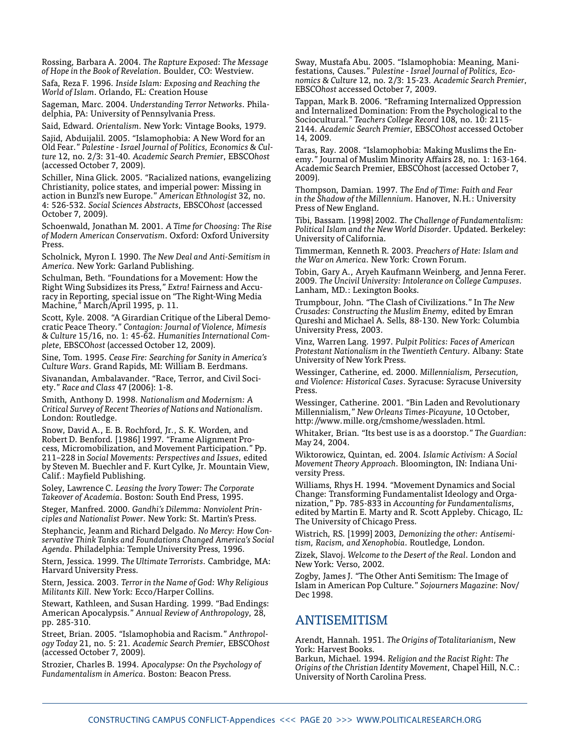Rossing, Barbara A. 2004. *The Rapture Exposed: The Message of Hope in the Book of Revelation*. Boulder, CO: Westview.

Safa, Reza F. 1996. *Inside Islam: Exposing and Reaching the World of Islam*. Orlando, FL: Creation House

Sageman, Marc. 2004. *Understanding Terror Networks*. Philadelphia, PA: University of Pennsylvania Press.

Said, Edward. *Orientalism*. New York: Vintage Books, 1979.

Sajid, Abduijalil. 2005. "Islamophobia: A New Word for an Old Fear." *Palestine - Israel Journal of Politics, Economics & Culture* 12, no. 2/3: 31-40. *Academic Search Premier*, EBSCO*host* (accessed October 7, 2009).

Schiller, Nina Glick. 2005. "Racialized nations, evangelizing Christianity, police states, and imperial power: Missing in action in Bunzl's new Europe." *American Ethnologist* 32, no. 4: 526-532. *Social Sciences Abstracts*, EBSCO*host* (accessed October 7, 2009).

Schoenwald, Jonathan M. 2001. *A Time for Choosing: The Rise of Modern American Conservatism*. Oxford: Oxford University Press.

Scholnick, Myron I. 1990. *The New Deal and Anti-Semitism in America.* New York: Garland Publishing.

Schulman, Beth. "Foundations for a Movement: How the Right Wing Subsidizes its Press," *Extra!* Fairness and Accuracy in Reporting, special issue on "The Right-Wing Media Machine," March/April 1995, p. 11.

Scott, Kyle. 2008. "A Girardian Critique of the Liberal Democratic Peace Theory." *Contagion: Journal of Violence, Mimesis & Culture* 15/16, no. 1: 45-62. *Humanities International Complete*, EBSCO*host* (accessed October 12, 2009).

Sine, Tom. 1995. *Cease Fire: Searching for Sanity in America's Culture Wars*. Grand Rapids, MI: William B. Eerdmans.

Sivanandan, Ambalavander. "Race, Terror, and Civil Society." *Race and Class* 47 (2006): 1-8.

Smith, Anthony D. 1998. *Nationalism and Modernism: A Critical Survey of Recent Theories of Nations and Nationalism*. London: Routledge.

Snow, David A., E. B. Rochford, Jr., S. K. Worden, and Robert D. Benford. [1986] 1997. "Frame Alignment Process, Micromobilization, and Movement Participation." Pp. 211–228 in *Social Movements: Perspectives and Issues*, edited by Steven M. Buechler and F. Kurt Cylke, Jr. Mountain View, Calif.: Mayfield Publishing.

Soley, Lawrence C. *Leasing the Ivory Tower: The Corporate Takeover of Academia*. Boston: South End Press, 1995.

Steger, Manfred. 2000. *Gandhi's Dilemma: Nonviolent Principles and Nationalist Power*. New York: St. Martin's Press.

Stephancic, Jeanm and Richard Delgado. *No Mercy: How Conservative Think Tanks and Foundations Changed America's Social Agenda*. Philadelphia: Temple University Press, 1996.

Stern, Jessica. 1999. *The Ultimate Terrorists*. Cambridge, MA: Harvard University Press.

Stern, Jessica. 2003. *Terror in the Name of God: Why Religious Militants Kill*. New York: Ecco/Harper Collins.

Stewart, Kathleen, and Susan Harding. 1999. "Bad Endings: American Apocalypsis." *Annual Review of Anthropology*, 28, pp. 285-310.

Street, Brian. 2005. "Islamophobia and Racism." *Anthropology Today* 21, no. 5: 21. *Academic Search Premier*, EBSCO*host*  (accessed October 7, 2009).

Strozier, Charles B. 1994. *Apocalypse: On the Psychology of Fundamentalism in America*. Boston: Beacon Press.

Sway, Mustafa Abu. 2005. "Islamophobia: Meaning, Manifestations, Causes." *Palestine - Israel Journal of Politics, Economics & Culture* 12, no. 2/3: 15-23. *Academic Search Premier*, EBSCO*host* accessed October 7, 2009.

Tappan, Mark B. 2006. "Reframing Internalized Oppression and Internalized Domination: From the Psychological to the Sociocultural." *Teachers College Record* 108, no. 10: 2115- 2144. *Academic Search Premier*, EBSCO*host* accessed October 14, 2009.

Taras, Ray. 2008. "Islamophobia: Making Muslims the Enemy." Journal of Muslim Minority Affairs 28, no. 1: 163-164. Academic Search Premier, EBSCOhost (accessed October 7, 2009).

Thompson, Damian. 1997. *The End of Time: Faith and Fear in the Shadow of the Millennium*. Hanover, N.H.: University Press of New England.

Tibi, Bassam. [1998] 2002. *The Challenge of Fundamentalism: Political Islam and the New World Disorder*. Updated. Berkeley: University of California.

Timmerman, Kenneth R. 2003. *Preachers of Hate: Islam and the War on America*. New York: Crown Forum.

Tobin, Gary A., Aryeh Kaufmann Weinberg, and Jenna Ferer. 2009. *The Uncivil University: Intolerance on College Campuses*. Lanham, MD.: Lexington Books.

Trumpbour, John. "The Clash of Civilizations." In *The New Crusades: Constructing the Muslim Enemy*, edited by Emran Qureshi and Michael A. Sells, 88-130. New York: Columbia University Press, 2003.

Vinz, Warren Lang. 1997. *Pulpit Politics: Faces of American Protestant Nationalism in the Twentieth Century*. Albany: State University of New York Press.

Wessinger, Catherine, ed. 2000. *Millennialism, Persecution, and Violence: Historical Cases*. Syracuse: Syracuse University Press.

Wessinger, Catherine. 2001. "Bin Laden and Revolutionary Millennialism," *New Orleans Times-Picayune*, 10 October, http://www.mille.org/cmshome/wessladen.html.

Whitaker, Brian. "Its best use is as a doorstop." *The Guardian*: May 24, 2004.

Wiktorowicz, Quintan, ed. 2004. *Islamic Activism: A Social Movement Theory Approach*. Bloomington, IN: Indiana University Press.

Williams, Rhys H. 1994. "Movement Dynamics and Social Change: Transforming Fundamentalist Ideology and Organization," Pp. 785-833 in *Accounting for Fundamentalisms*, edited by Martin E. Marty and R. Scott Appleby. Chicago, IL: The University of Chicago Press.

Wistrich, RS. [1999] 2003, *Demonizing the other: Antisemitism, Racism, and Xenophobia*. Routledge, London.

Zizek, Slavoj. *Welcome to the Desert of the Real*. London and New York: Verso, 2002.

Zogby, James J. "The Other Anti Semitism: The Image of Islam in American Pop Culture." *Sojourners Magazine*: Nov/ Dec 1998.

### **ANTISEMITISM**

Arendt, Hannah. 1951. *The Origins of Totalitarianism*, New York: Harvest Books.

Barkun, Michael. 1994. *Religion and the Racist Right: The Origins of the Christian Identity Movement*, Chapel Hill, N.C.: University of North Carolina Press.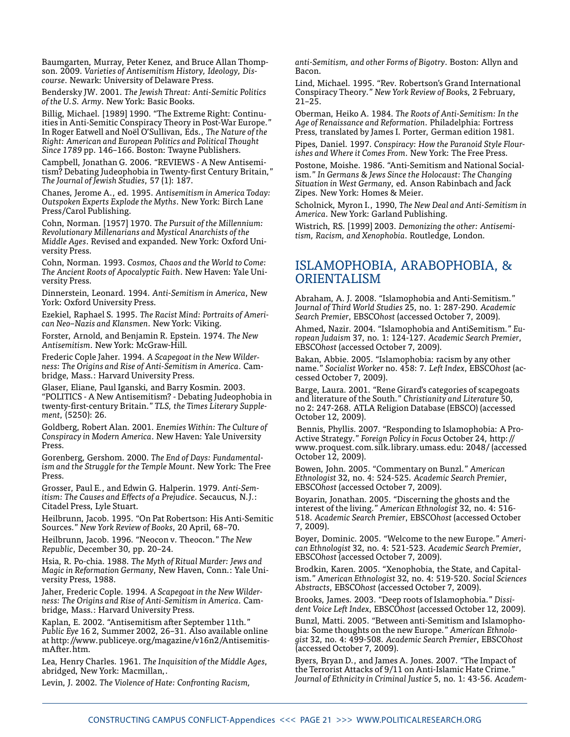Baumgarten, Murray, Peter Kenez, and Bruce Allan Thompson. 2009. *Varieties of Antisemitism History, Ideology, Discourse*. Newark: University of Delaware Press.

Bendersky JW. 2001. *The Jewish Threat: Anti-Semitic Politics of the U.S. Army*. New York: Basic Books.

Billig, Michael. [1989] 1990. "The Extreme Right: Continuities in Anti-Semitic Conspiracy Theory in Post-War Europe." In Roger Eatwell and Noël O'Sullivan, Eds., *The Nature of the Right: American and European Politics and Political Thought Since 1789* pp. 146–166. Boston: Twayne Publishers.

Campbell, Jonathan G. 2006. "REVIEWS - A New Antisemitism? Debating Judeophobia in Twenty-first Century Britain," *The Journal of Jewish Studies*, 57 (1): 187.

Chanes, Jerome A., ed. 1995. *Antisemitism in America Today: Outspoken Experts Explode the Myths*. New York: Birch Lane Press/Carol Publishing.

Cohn, Norman. [1957] 1970. *The Pursuit of the Millennium: Revolutionary Millenarians and Mystical Anarchists of the Middle Ages*. Revised and expanded. New York: Oxford University Press.

Cohn, Norman. 1993. *Cosmos, Chaos and the World to Come: The Ancient Roots of Apocalyptic Faith*. New Haven: Yale University Press.

Dinnerstein, Leonard. 1994. *Anti-Semitism in America*, New York: Oxford University Press.

Ezekiel, Raphael S. 1995. *The Racist Mind: Portraits of American Neo–Nazis and Klansmen*. New York: Viking.

Forster, Arnold, and Benjamin R. Epstein. 1974. *The New Antisemitism*. New York: McGraw-Hill.

Frederic Cople Jaher. 1994. *A Scapegoat in the New Wilderness: The Origins and Rise of Anti-Semitism in America*. Cambridge, Mass.: Harvard University Press.

Glaser, Eliane, Paul Iganski, and Barry Kosmin. 2003. "POLITICS - A New Antisemitism? - Debating Judeophobia in twenty-first-century Britain." *TLS, the Times Literary Supplement*, (5250): 26.

Goldberg, Robert Alan. 2001. *Enemies Within: The Culture of Conspiracy in Modern America*. New Haven: Yale University Press.

Gorenberg, Gershom. 2000. *The End of Days: Fundamentalism and the Struggle for the Temple Mount*. New York: The Free Press.

Grosser, Paul E., and Edwin G. Halperin. 1979. *Anti-Semitism: The Causes and Effects of a Prejudice*. Secaucus, N.J.: Citadel Press, Lyle Stuart.

Heilbrunn, Jacob. 1995. "On Pat Robertson: His Anti-Semitic Sources." *New York Review of Books*, 20 April, 68–70.

Heilbrunn, Jacob. 1996. "Neocon v. Theocon." *The New Republic*, December 30, pp. 20–24.

Hsia, R. Po-chia. 1988. *The Myth of Ritual Murder: Jews and Magic in Reformation Germany*, New Haven, Conn.: Yale University Press, 1988.

Jaher, Frederic Cople. 1994. *A Scapegoat in the New Wilderness: The Origins and Rise of Anti-Semitism in America*. Cambridge, Mass.: Harvard University Press.

Kaplan, E. 2002. "Antisemitism after September 11th." *Public Eye* 16 2, Summer 2002, 26–31. Also available online at http://www.publiceye.org/magazine/v16n2/AntisemitismAfter.htm.

Lea, Henry Charles. 1961. *The Inquisition of the Middle Ages*, abridged, New York: Macmillan,.

Levin, J. 2002. *The Violence of Hate: Confronting Racism,* 

*anti-Semitism, and other Forms of Bigotry*. Boston: Allyn and Bacon.

Lind, Michael. 1995. "Rev. Robertson's Grand International Conspiracy Theory." *New York Review of Book*s, 2 February, 21–25.

Oberman, Heiko A. 1984. *The Roots of Anti-Semitism: In the Age of Renaissance and Reformation*. Philadelphia: Fortress Press, translated by James I. Porter, German edition 1981.

Pipes, Daniel. 1997. *Conspiracy: How the Paranoid Style Flourishes and Where it Comes From*. New York: The Free Press.

Postone, Moishe. 1986. "Anti-Semitism and National Socialism." *In Germans & Jews Since the Holocaust: The Changing Situation in West Germany*, ed. Anson Rabinbach and Jack Zipes. New York: Homes & Meier.

Scholnick, Myron I., 1990, *The New Deal and Anti-Semitism in America*. New York: Garland Publishing.

Wistrich, RS. [1999] 2003. *Demonizing the other: Antisemitism, Racism, and Xenophobia*. Routledge, London.

### Islamophobia, Arabophobia, & **ORIENTALISM**

Abraham, A. J. 2008. "Islamophobia and Anti-Semitism." J*ournal of Third World Studies* 25, no. 1: 287-290. *Academic Search Premier*, EBSCO*host* (accessed October 7, 2009).

Ahmed, Nazir. 2004. "Islamophobia and AntiSemitism." *European Judaism* 37, no. 1: 124-127. *Academic Search Premier*, EBSCO*host* (accessed October 7, 2009).

Bakan, Abbie. 2005. "Islamophobia: racism by any other name." *Socialist Worker* no. 458: 7. *Left Index*, EBSCO*host* (accessed October 7, 2009).

Barge, Laura. 2001. "Rene Girard's categories of scapegoats and literature of the South." *Christianity and Literature* 50, no 2: 247-268. ATLA Religion Database (EBSCO) (accessed October 12, 2009).

 Bennis, Phyllis. 2007. "Responding to Islamophobia: A Pro-Active Strategy." *Foreign Policy in Focus* October 24, http:// www.proquest.com.silk.library.umass.edu: 2048/ (accessed October 12, 2009).

Bowen, John. 2005. "Commentary on Bunzl." *American Ethnologist* 32, no. 4: 524-525. *Academic Search Premier*, EBSCO*host* (accessed October 7, 2009).

Boyarin, Jonathan. 2005. "Discerning the ghosts and the interest of the living." *American Ethnologist* 32, no. 4: 516- 518. *Academic Search Premier*, EBSCO*host* (accessed October 7, 2009).

Boyer, Dominic. 2005. "Welcome to the new Europe." *American Ethnologist* 32, no. 4: 521-523. *Academic Search Premier*, EBSCO*host* (accessed October 7, 2009).

Brodkin, Karen. 2005. "Xenophobia, the State, and Capitalism." *American Ethnologist* 32, no. 4: 519-520. *Social Sciences Abstracts*, EBSCO*host* (accessed October 7, 2009).

Brooks, James. 2003. "Deep roots of Islamophobia." *Dissident Voice Left Index*, EBSCO*host* (accessed October 12, 2009).

Bunzl, Matti. 2005. "Between anti-Semitism and Islamophobia: Some thoughts on the new Europe." *American Ethnologist* 32, no. 4: 499-508. *Academic Search Premier*, EBSCO*host* (accessed October 7, 2009).

Byers, Bryan D., and James A. Jones. 2007. "The Impact of the Terrorist Attacks of 9/11 on Anti-Islamic Hate Crime." *Journal of Ethnicity in Criminal Justice* 5, no. 1: 43-56. *Academ-*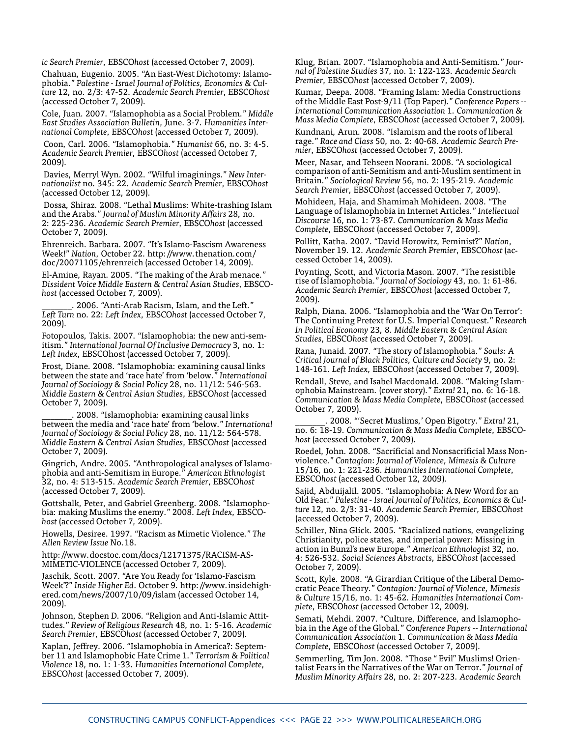*ic Search Premier*, EBSCO*host* (accessed October 7, 2009).

Chahuan, Eugenio. 2005. "An East-West Dichotomy: Islamophobia." *Palestine - Israel Journal of Politics, Economics & Culture* 12, no. 2/3: 47-52. *Academic Search Premier*, EBSCO*host* (accessed October 7, 2009).

Cole, Juan. 2007. "Islamophobia as a Social Problem." *Middle East Studies Association Bulletin*, June. 3-7. *Humanities International Complete*, EBSCO*host* (accessed October 7, 2009).

 Coon, Carl. 2006. "Islamophobia." *Humanist* 66, no. 3: 4-5. *Academic Search Premier*, EBSCO*host* (accessed October 7, 2009).

 Davies, Merryl Wyn. 2002. "Wilful imaginings." *New Internationalist* no. 345: 22. *Academic Search Premier*, EBSCO*host* (accessed October 12, 2009).

 Dossa, Shiraz. 2008. "Lethal Muslims: White-trashing Islam and the Arabs." *Journal of Muslim Minority Affairs* 28, no. 2: 225-236. *Academic Search Premier*, EBSCO*host* (accessed October 7, 2009).

Ehrenreich. Barbara. 2007. "It's Islamo-Fascism Awareness Week!" *Nation*, October 22. http://www.thenation.com/ doc/20071105/ehrenreich (accessed October 14, 2009).

El-Amine, Rayan. 2005. "The making of the Arab menace." *Dissident Voice Middle Eastern & Central Asian Studies*, EBSCO*host* (accessed October 7, 2009).

\_\_\_\_\_\_\_. 2006. "Anti-Arab Racism, Islam, and the Left." *Left Turn* no. 22: *Left Index*, EBSCO*host* (accessed October 7, 2009).

Fotopoulos, Takis. 2007. "Islamophobia: the new anti-semitism." *International Journal Of Inclusive Democracy* 3, no. 1: *Left Index*, EBSCOhost (accessed October 7, 2009).

Frost, Diane. 2008. "Islamophobia: examining causal links between the state and 'race hate' from 'below." *International Journal of Sociology & Social Policy* 28, no. 11/12: 546-563. *Middle Eastern & Central Asian Studies*, EBSCO*host* (accessed October 7, 2009).

. 2008. "Islamophobia: examining causal links between the media and 'race hate' from 'below." *International Journal of Sociology & Social Policy* 28, no. 11/12: 564-578. *Middle Eastern & Central Asian Studies*, EBSCO*host* (accessed October 7, 2009).

Gingrich, Andre. 2005. "Anthropological analyses of Islamophobia and anti-Semitism in Europe." *American Ethnologis*t 32, no. 4: 513-515. *Academic Search Premier*, EBSCO*host* (accessed October 7, 2009).

Gottshalk, Peter, and Gabriel Greenberg. 2008. "Islamophobia: making Muslims the enemy." 2008. *Left Index*, EBSCO*host* (accessed October 7, 2009).

Howells, Desiree. 1997. "Racism as Mimetic Violence." *The Allen Review Issue* No.18.

http://www.docstoc.com/docs/12171375/RACISM-AS-MIMETIC-VIOLENCE (accessed October 7, 2009).

Jaschik, Scott. 2007. "Are You Ready for 'Islamo-Fascism Week'?" *Inside Higher Ed*. October 9. http://www.insidehighered.com/news/2007/10/09/islam (accessed October 14, 2009).

Johnson, Stephen D. 2006. "Religion and Anti-Islamic Attittudes." *Review of Religious Research* 48, no. 1: 5-16. *Academic Search Premier*, EBSCO*host* (accessed October 7, 2009).

Kaplan, Jeffrey. 2006. "Islamophobia in America?: September 11 and Islamophobic Hate Crime 1." *Terrorism & Political Violence* 18, no. 1: 1-33. *Humanities International Complete*, EBSCO*host* (accessed October 7, 2009).

Klug, Brian. 2007. "Islamophobia and Anti-Semitism." *Journal of Palestine Studies* 37, no. 1: 122-123*. Academic Search Premier*, EBSCO*host* (accessed October 7, 2009).

Kumar, Deepa. 2008. "Framing Islam: Media Constructions of the Middle East Post-9/11 (Top Paper)." *Conference Papers -- International Communication Association* 1. *Communication & Mass Media Complete*, EBSCO*host* (accessed October 7, 2009).

Kundnani, Arun. 2008. "Islamism and the roots of liberal rage." *Race and Class* 50, no. 2: 40-68. *Academic Search Premier*, EBSCO*host* (accessed October 7, 2009).

Meer, Nasar, and Tehseen Noorani. 2008. "A sociological comparison of anti-Semitism and anti-Muslim sentiment in Britain." *Sociological Review* 56, no. 2: 195-219. *Academic Search Premier*, EBSCO*host* (accessed October 7, 2009).

Mohideen, Haja, and Shamimah Mohideen. 2008. "The Language of Islamophobia in Internet Articles." *Intellectual Discourse* 16, no. 1: 73-87. *Communication & Mass Media Complete*, EBSCO*host* (accessed October 7, 2009).

Pollitt, Katha. 2007. "David Horowitz, Feminist?" *Nation*, November 19. 12. *Academic Search Premier*, EBSCO*host* (accessed October 14, 2009).

Poynting, Scott, and Victoria Mason. 2007. "The resistible rise of Islamophobia." *Journal of Sociology* 43, no. 1: 61-86. *Academic Search Premier*, EBSCO*host* (accessed October 7, 2009).

Ralph, Diana. 2006. "Islamophobia and the 'War On Terror': The Continuing Pretext for U.S. Imperial Conquest." *Research In Political Economy* 23, 8. *Middle Eastern & Central Asian Studies*, EBSCO*host* (accessed October 7, 2009).

Rana, Junaid. 2007. "The story of Islamophobia." *Souls: A Critical Journal of Black Politics, Culture and Society* 9, no. 2: 148-161. *Left Index*, EBSCO*host* (accessed October 7, 2009).

Rendall, Steve, and Isabel Macdonald. 2008. "Making Islamophobia Mainstream. (cover story)." *Extra!* 21, no. 6: 16-18. *Communication & Mass Media Complete*, EBSCO*host* (accessed October 7, 2009).

\_\_\_\_\_\_\_. 2008. "'Secret Muslims,' Open Bigotry." *Extra!* 21, no. 6: 18-19. *Communication & Mass Media Complete*, EBSCO*host* (accessed October 7, 2009).

Roedel, John. 2008. "Sacrificial and Nonsacrificial Mass Nonviolence." *Contagion: Journal of Violence, Mimesis & Cultur*e 15/16, no. 1: 221-236. *Humanities International Complete*, EBSCO*host* (accessed October 12, 2009).

Sajid, Abduijalil. 2005. "Islamophobia: A New Word for an Old Fear." *Palestine - Israel Journal of Politics, Economics & Culture* 12, no. 2/3: 31-40. *Academic Search Premier*, EBSCO*host* (accessed October 7, 2009).

Schiller, Nina Glick. 2005. "Racialized nations, evangelizing Christianity, police states, and imperial power: Missing in action in Bunzl's new Europe." *American Ethnologist* 32, no. 4: 526-532. *Social Sciences Abstracts*, EBSCO*host* (accessed October 7, 2009).

Scott, Kyle. 2008. "A Girardian Critique of the Liberal Democratic Peace Theory." C*ontagion: Journal of Violence, Mimesis & Culture* 15/16, no. 1: 45-62. *Humanities International Complete*, EBSCO*host* (accessed October 12, 2009).

Semati, Mehdi. 2007. "Culture, Difference, and Islamophobia in the Age of the Global." C*onference Papers -- International Communication Association* 1. *Communication & Mass Media Complete*, EBSCO*host* (accessed October 7, 2009).

Semmerling, Tim Jon. 2008. "Those " Evil" Muslims! Orientalist Fears in the Narratives of the War on Terror." *Journal of Muslim Minority Affairs* 28, no. 2: 207-223. *Academic Search*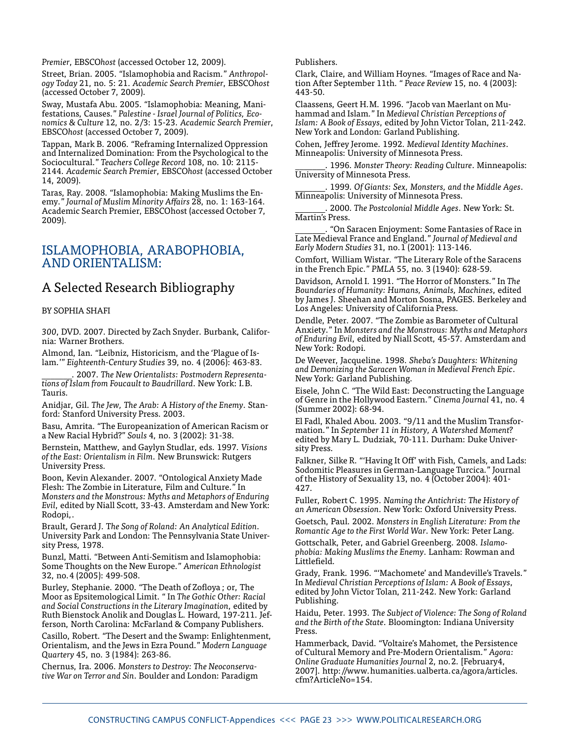*Premier*, EBSCO*host* (accessed October 12, 2009).

Street, Brian. 2005. "Islamophobia and Racism." *Anthropology Today* 21, no. 5: 21. *Academic Search Premier*, EBSCO*host* (accessed October 7, 2009).

Sway, Mustafa Abu. 2005. "Islamophobia: Meaning, Manifestations, Causes." *Palestine - Israel Journal of Politics, Economics & Culture* 12, no. 2/3: 15-23. *Academic Search Premier*, EBSCO*host* (accessed October 7, 2009).

Tappan, Mark B. 2006. "Reframing Internalized Oppression and Internalized Domination: From the Psychological to the Sociocultural." *Teachers College Record* 108, no. 10: 2115- 2144. *Academic Search Premier*, EBSCO*host* (accessed October 14, 2009).

Taras, Ray. 2008. "Islamophobia: Making Muslims the Enemy." *Journal of Muslim Minority Affairs* 28, no. 1: 163-164. Academic Search Premier, EBSCOhost (accessed October 7, 2009).

### Islamophobia, Arabophobia, and Orientalism:

### A Selected Research Bibliography

#### by Sophia Shafi

*300*, DVD. 2007. Directed by Zach Snyder. Burbank, California: Warner Brothers.

Almond, Ian. "Leibniz, Historicism, and the 'Plague of Islam.'" *Eighteenth-Century Studies* 39, no. 4 (2006): 463-83.

\_\_\_\_\_\_\_. 2007. *The New Orientalists: Postmodern Representations of Islam from Foucault to Baudrillard*. New York: I.B. Tauris.

Anidjar, Gil. *The Jew, The Arab: A History of the Enemy*. Stanford: Stanford University Press. 2003.

Basu, Amrita. "The Europeanization of American Racism or a New Racial Hybrid?" *Souls* 4, no. 3 (2002): 31-38.

Bernstein, Matthew, and Gaylyn Studlar, eds. 1997. *Visions of the East: Orientalism in Film*. New Brunswick: Rutgers University Press.

Boon, Kevin Alexander. 2007. "Ontological Anxiety Made Flesh: The Zombie in Literature, Film and Culture." In *Monsters and the Monstrous: Myths and Metaphors of Enduring Evil*, edited by Niall Scott, 33-43. Amsterdam and New York: Rodopi,.

Brault, Gerard J. T*he Song of Roland: An Analytical Edition*. University Park and London: The Pennsylvania State University Press, 1978.

Bunzl, Matti. "Between Anti-Semitism and Islamophobia: Some Thoughts on the New Europe." *American Ethnologist*  32, no.4 (2005): 499-508.

Burley, Stephanie. 2000. "The Death of Zofloya ; or, The Moor as Epsitemological Limit. " In *The Gothic Other: Racial and Social Constructions in the Literary Imagination*, edited by Ruth Bienstock Anolik and Douglas L. Howard, 197-211. Jefferson, North Carolina: McFarland & Company Publishers.

Casillo, Robert. "The Desert and the Swamp: Enlightenment, Orientalism, and the Jews in Ezra Pound." *Modern Language Quartery* 45, no. 3 (1984): 263-86.

Chernus, Ira. 2006. *Monsters to Destroy: The Neoconservative War on Terror and Sin*. Boulder and London: Paradigm Publishers.

Clark, Claire, and William Hoynes. "Images of Race and Nation After September 11th. " *Peace Review* 15, no. 4 (2003): 443-50.

Claassens, Geert H.M. 1996. "Jacob van Maerlant on Muhammad and Islam." In *Medieval Christian Perceptions of Islam: A Book of Essays*, edited by John Victor Tolan, 211-242. New York and London: Garland Publishing.

Cohen, Jeffrey Jerome. 1992. *Medieval Identity Machines*. Minneapolis: University of Minnesota Press.

\_\_\_\_\_\_\_. 1996. *Monster Theory: Reading Culture*. Minneapolis: University of Minnesota Press.

\_\_\_\_\_\_\_. 1999. *Of Giants: Sex, Monsters, and the Middle Ages*. Minneapolis: University of Minnesota Press.

\_\_\_\_\_\_\_. 2000. *The Postcolonial Middle Ages*. New York: St. Martin's Press.

\_\_\_\_\_\_\_. "On Saracen Enjoyment: Some Fantasies of Race in Late Medieval France and England." *Journal of Medieval and Early Modern Studies* 31, no.1 (2001): 113-146.

Comfort, William Wistar. "The Literary Role of the Saracens in the French Epic." *PMLA* 55, no. 3 (1940): 628-59.

Davidson, Arnold I. 1991. "The Horror of Monsters." In *The Boundaries of Humanity: Humans, Animals, Machines*, edited by James J. Sheehan and Morton Sosna, PAGES. Berkeley and Los Angeles: University of California Press.

Dendle, Peter. 2007. "The Zombie as Barometer of Cultural Anxiety." In *Monsters and the Monstrous: Myths and Metaphors of Enduring Evil*, edited by Niall Scott, 45-57. Amsterdam and New York: Rodopi.

De Weever, Jacqueline. 1998. *Sheba's Daughters: Whitening and Demonizing the Saracen Woman in Medieval French Epic*. New York: Garland Publishing.

Eisele, John C. "The Wild East: Deconstructing the Language of Genre in the Hollywood Eastern." *Cinema Journal* 41, no. 4 (Summer 2002): 68-94.

El Fadl, Khaled Abou. 2003. "9/11 and the Muslim Transformation." In *September 11 in History, A Watershed Moment?* edited by Mary L. Dudziak, 70-111. Durham: Duke University Press.

Falkner, Silke R. "'Having It Off' with Fish, Camels, and Lads: Sodomitic Pleasures in German-Language Turcica." Journal of the History of Sexuality 13, no. 4 (October 2004): 401- 427.

Fuller, Robert C. 1995. *Naming the Antichrist: The History of an American Obsession*. New York: Oxford University Press.

Goetsch, Paul. 2002. *Monsters in English Literature: From the Romantic Age to the First World War*. New York: Peter Lang.

Gottschalk, Peter, and Gabriel Greenberg. 2008. *Islamophobia: Making Muslims the Enemy*. Lanham: Rowman and Littlefield.

Grady, Frank. 1996. "'Machomete' and Mandeville's Travels." In *Medieval Christian Perceptions of Islam: A Book of Essays*, edited by John Victor Tolan, 211-242. New York: Garland Publishing.

Haidu, Peter. 1993. *The Subject of Violence: The Song of Roland and the Birth of the State*. Bloomington: Indiana University Press.

Hammerback, David. "Voltaire's Mahomet, the Persistence of Cultural Memory and Pre-Modern Orientalism." *Agora: Online Graduate Humanities Journal* 2, no.2. [February4, 2007]. http://www.humanities.ualberta.ca/agora/articles. cfm?ArticleNo=154.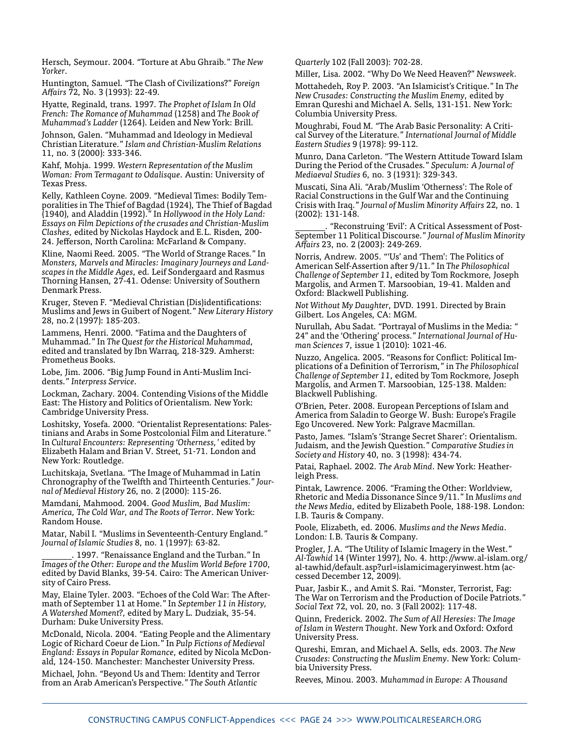Hersch, Seymour. 2004. "Torture at Abu Ghraib." *The New Yorker*.

Huntington, Samuel. "The Clash of Civilizations?" *Foreign Affairs* 72, No. 3 (1993): 22-49.

Hyatte, Reginald, trans. 1997. *The Prophet of Islam In Old French: The Romance of Muhammad* (1258) and *The Book of Muhammad's Ladder* (1264). Leiden and New York: Brill.

Johnson, Galen. "Muhammad and Ideology in Medieval Christian Literature." *Islam and Christian-Muslim Relations* 11, no. 3 (2000): 333-346.

Kahf, Mohja. 1999. *Western Representation of the Muslim Woman: From Termagant to Odalisque*. Austin: University of Texas Press.

Kelly, Kathleen Coyne. 2009. "Medieval Times: Bodily Temporalities in The Thief of Bagdad (1924), The Thief of Bagdad (1940), and Aladdin (1992)." In *Hollywood in the Holy Land: Essays on Film Depictions of the crusades and Christian-Muslim Clashes*, edited by Nickolas Haydock and E.L. Risden, 200- 24. Jefferson, North Carolina: McFarland & Company.

Kline, Naomi Reed. 2005. "The World of Strange Races." In *Monsters, Marvels and Miracles: Imaginary Journeys and Landscapes in the Middle Ages*, ed. Leif Sondergaard and Rasmus Thorning Hansen, 27-41. Odense: University of Southern Denmark Press.

Kruger, Steven F. "Medieval Christian (Dis)identifications: Muslims and Jews in Guibert of Nogent." *New Literary History*  28, no.2 (1997): 185-203.

Lammens, Henri. 2000. "Fatima and the Daughters of Muhammad." In *The Quest for the Historical Muhammad*, edited and translated by Ibn Warraq, 218-329. Amherst: Prometheus Books.

Lobe, Jim. 2006. "Big Jump Found in Anti-Muslim Incidents." *Interpress Service*.

Lockman, Zachary. 2004. Contending Visions of the Middle East: The History and Politics of Orientalism. New York: Cambridge University Press.

Loshitsky, Yosefa. 2000. "Orientalist Representations: Palestinians and Arabs in Some Postcolonial Film and Literature." In *Cultural Encounters: Representing 'Otherness,'* edited by Elizabeth Halam and Brian V. Street, 51-71. London and New York: Routledge.

Luchitskaja, Svetlana. "The Image of Muhammad in Latin Chronography of the Twelfth and Thirteenth Centuries." *Journal of Medieval History* 26, no. 2 (2000): 115-26.

Mamdani, Mahmood. 2004. *Good Muslim, Bad Muslim: America, The Cold War, and The Roots of Terror*. New York: Random House.

Matar, Nabil I. "Muslims in Seventeenth-Century England." *Journal of Islamic Studies* 8, no. 1 (1997): 63-82.

1997. "Renaissance England and the Turban." In *Images of the Other: Europe and the Muslim World Before 1700*, edited by David Blanks, 39-54. Cairo: The American University of Cairo Press.

May, Elaine Tyler. 2003. "Echoes of the Cold War: The Aftermath of September 11 at Home." In *September 11 in History, A Watershed Moment?*, edited by Mary L. Dudziak, 35-54. Durham: Duke University Press.

McDonald, Nicola. 2004. "Eating People and the Alimentary Logic of Richard Coeur de Lion." In *Pulp Fictions of Medieval England: Essays in Popular Romance*, edited by Nicola McDonald, 124-150. Manchester: Manchester University Press.

Michael, John. "Beyond Us and Them: Identity and Terror from an Arab American's Perspective." *The South Atlantic* 

*Quarterly* 102 (Fall 2003): 702-28.

Miller, Lisa. 2002. "Why Do We Need Heaven?" *Newsweek*.

Mottahedeh, Roy P. 2003. "An Islamicist's Critique." In *The New Crusades: Constructing the Muslim Enemy*, edited by Emran Qureshi and Michael A. Sells, 131-151. New York: Columbia University Press.

Moughrabi, Foud M. "The Arab Basic Personality: A Critical Survey of the Literature." *International Journal of Middle Eastern Studies* 9 (1978): 99-112.

Munro, Dana Carleton. "The Western Attitude Toward Islam During the Period of the Crusades." *Speculum: A Journal of Mediaeval Studies* 6, no. 3 (1931): 329-343.

Muscati, Sina Ali. "Arab/Muslim 'Otherness': The Role of Racial Constructions in the Gulf War and the Continuing Crisis with Iraq." *Journal of Muslim Minority Affairs* 22, no. 1 (2002): 131-148.

\_\_\_\_\_\_\_. "Reconstruing 'Evil': A Critical Assessment of Post-September 11 Political Discourse." *Journal of Muslim Minority Affairs* 23, no. 2 (2003): 249-269.

Norris, Andrew. 2005. "'Us' and 'Them': The Politics of American Self-Assertion after 9/11." In *The Philosophical Challenge of September 11*, edited by Tom Rockmore, Joseph Margolis, and Armen T. Marsoobian, 19-41. Malden and Oxford: Blackwell Publishing.

*Not Without My Daughter*, DVD. 1991. Directed by Brain Gilbert. Los Angeles, CA: MGM.

Nurullah, Abu Sadat. "Portrayal of Muslims in the Media: " 24" and the 'Othering' process." *International Journal of Human Sciences* 7, issue 1 (2010): 1021-46.

Nuzzo, Angelica. 2005. "Reasons for Conflict: Political Implications of a Definition of Terrorism," in *The Philosophical Challenge of September 11*, edited by Tom Rockmore, Joseph Margolis, and Armen T. Marsoobian, 125-138. Malden: Blackwell Publishing.

O'Brien, Peter. 2008. European Perceptions of Islam and America from Saladin to George W. Bush: Europe's Fragile Ego Uncovered. New York: Palgrave Macmillan.

Pasto, James. "Islam's 'Strange Secret Sharer': Orientalism. Judaism, and the Jewish Question." *Comparative Studies in Society and History* 40, no. 3 (1998): 434-74.

Patai, Raphael. 2002. *The Arab Mind*. New York: Heatherleigh Press.

Pintak, Lawrence. 2006. "Framing the Other: Worldview, Rhetoric and Media Dissonance Since 9/11." In *Muslims and the News Media*, edited by Elizabeth Poole, 188-198. London: I.B. Tauris & Company.

Poole, Elizabeth, ed. 2006. *Muslims and the News Media*. London: I.B. Tauris & Company.

Progler, J.A. "The Utility of Islamic Imagery in the West." *Al-Tawhid* 14 (Winter 1997), No. 4. http://www.al-islam.org/ al-tawhid/default.asp?url=islamicimageryinwest.htm (accessed December 12, 2009).

Puar, Jasbir K., and Amit S. Rai. "Monster, Terrorist, Fag: The War on Terrorism and the Production of Docile Patriots." *Social Text* 72, vol. 20, no. 3 (Fall 2002): 117-48.

Quinn, Frederick. 2002. *The Sum of All Heresies: The Image of Islam in Western Thought*. New York and Oxford: Oxford University Press.

Qureshi, Emran, and Michael A. Sells, eds. 2003. *The New Crusades: Constructing the Muslim Enemy*. New York: Columbia University Press.

Reeves, Minou. 2003. *Muhammad in Europe: A Thousand*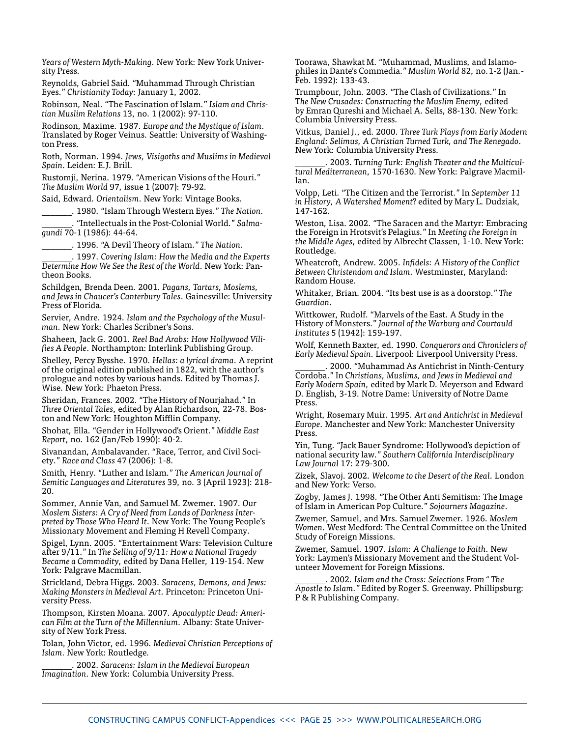*Years of Western Myth-Making*. New York: New York University Press.

Reynolds, Gabriel Said. "Muhammad Through Christian Eyes." *Christianity Today*: January 1, 2002.

Robinson, Neal. "The Fascination of Islam." *Islam and Christian Muslim Relations* 13, no. 1 (2002): 97-110.

Rodinson, Maxime. 1987. *Europe and the Mystique of Islam*. Translated by Roger Veinus. Seattle: University of Washington Press.

Roth, Norman. 1994. *Jews, Visigoths and Muslims in Medieval Spain*. Leiden: E.J. Brill.

Rustomji, Nerina. 1979. "American Visions of the Houri." *The Muslim World* 97, issue 1 (2007): 79-92.

Said, Edward. *Orientalism*. New York: Vintage Books.

\_\_\_\_\_\_\_. 1980. "Islam Through Western Eyes." *The Nation*.

\_\_\_\_\_\_\_. "Intellectuals in the Post-Colonial World." *Salmagundi* 70-1 (1986): 44-64.

\_\_\_\_\_\_\_. 1996. "A Devil Theory of Islam." *The Nation*.

\_\_\_\_\_\_\_. 1997. *Covering Islam: How the Media and the Experts Determine How We See the Rest of the World*. New York: Pantheon Books.

Schildgen, Brenda Deen. 2001. *Pagans, Tartars, Moslems, and Jews in Chaucer's Canterbury Tales*. Gainesville: University Press of Florida.

Servier, Andre. 1924. *Islam and the Psychology of the Musulman*. New York: Charles Scribner's Sons.

Shaheen, Jack G. 2001. *Reel Bad Arabs: How Hollywood Vilifies A People*. Northampton: Interlink Publishing Group.

Shelley, Percy Bysshe. 1970. *Hellas: a lyrical drama*. A reprint of the original edition published in 1822, with the author's prologue and notes by various hands. Edited by Thomas J. Wise. New York: Phaeton Press.

Sheridan, Frances. 2002. "The History of Nourjahad." In *Three Oriental Tales*, edited by Alan Richardson, 22-78. Boston and New York: Houghton Mifflin Company.

Shohat, Ella. "Gender in Hollywood's Orient." *Middle East Report*, no. 162 (Jan/Feb 1990): 40-2.

Sivanandan, Ambalavander. "Race, Terror, and Civil Society." *Race and Class* 47 (2006): 1-8.

Smith, Henry. "Luther and Islam." *The American Journal of Semitic Languages and Literatures* 39, no. 3 (April 1923): 218- 20.

Sommer, Annie Van, and Samuel M. Zwemer. 1907. *Our Moslem Sisters: A Cry of Need from Lands of Darkness Interpreted by Those Who Heard It*. New York: The Young People's Missionary Movement and Fleming H Revell Company.

Spigel, Lynn. 2005. "Entertainment Wars: Television Culture after 9/11." In *The Selling of 9/11: How a National Tragedy Became a Commodity*, edited by Dana Heller, 119-154. New York: Palgrave Macmillan.

Strickland, Debra Higgs. 2003. *Saracens, Demons, and Jews: Making Monsters in Medieval Art*. Princeton: Princeton University Press.

Thompson, Kirsten Moana. 2007. *Apocalyptic Dead: American Film at the Turn of the Millennium*. Albany: State University of New York Press.

Tolan, John Victor, ed. 1996. *Medieval Christian Perceptions of Islam*. New York: Routledge.

\_\_\_\_\_\_\_. 2002. *Saracens: Islam in the Medieval European Imagination*. New York: Columbia University Press.

Toorawa, Shawkat M. "Muhammad, Muslims, and Islamophiles in Dante's Commedia." *Muslim World* 82, no.1-2 (Jan.- Feb. 1992): 133-43.

Trumpbour, John. 2003. "The Clash of Civilizations." In T*he New Crusades: Constructing the Muslim Enemy*, edited by Emran Qureshi and Michael A. Sells, 88-130. New York: Columbia University Press.

Vitkus, Daniel J., ed. 2000. *Three Turk Plays from Early Modern England: Selimus, A Christian Turned Turk, and The Renegado*. New York: Columbia University Press.

\_\_\_\_\_\_\_. 2003. *Turning Turk: English Theater and the Multicultural Mediterranean*, 1570-1630. New York: Palgrave Macmillan.

Volpp, Leti. "The Citizen and the Terrorist." In *September 11 in History, A Watershed Moment?* edited by Mary L. Dudziak, 147-162.

Weston, Lisa. 2002. "The Saracen and the Martyr: Embracing the Foreign in Hrotsvit's Pelagius." In *Meeting the Foreign in the Middle Ages*, edited by Albrecht Classen, 1-10. New York: Routledge.

Wheatcroft, Andrew. 2005. *Infidels: A History of the Conflict Between Christendom and Islam*. Westminster, Maryland: Random House.

Whitaker, Brian. 2004. "Its best use is as a doorstop." *The Guardian*.

Wittkower, Rudolf. "Marvels of the East. A Study in the History of Monsters." *Journal of the Warburg and Courtauld Institutes* 5 (1942): 159-197.

Wolf, Kenneth Baxter, ed. 1990. *Conquerors and Chroniclers of Early Medieval Spain*. Liverpool: Liverpool University Press.

\_\_\_\_\_\_\_. 2000. "Muhammad As Antichrist in Ninth-Century Cordoba." In *Christians, Muslims, and Jews in Medieval and Early Modern Spain*, edited by Mark D. Meyerson and Edward D. English, 3-19. Notre Dame: University of Notre Dame Press.

Wright, Rosemary Muir. 1995. *Art and Antichrist in Medieval Europe*. Manchester and New York: Manchester University Press.

Yin, Tung. "Jack Bauer Syndrome: Hollywood's depiction of national security law." *Southern California Interdisciplinary Law Journal* 17: 279-300.

Zizek, Slavoj. 2002. *Welcome to the Desert of the Real*. London and New York: Verso.

Zogby, James J. 1998. "The Other Anti Semitism: The Image of Islam in American Pop Culture." *Sojourners Magazine*.

Zwemer, Samuel, and Mrs. Samuel Zwemer. 1926. *Moslem Women*. West Medford: The Central Committee on the United Study of Foreign Missions.

Zwemer, Samuel. 1907. *Islam: A Challenge to Faith*. New York: Laymen's Missionary Movement and the Student Volunteer Movement for Foreign Missions.

\_\_\_\_\_\_\_. 2002. *Islam and the Cross: Selections From " The Apostle to Islam."* Edited by Roger S. Greenway. Phillipsburg: P & R Publishing Company.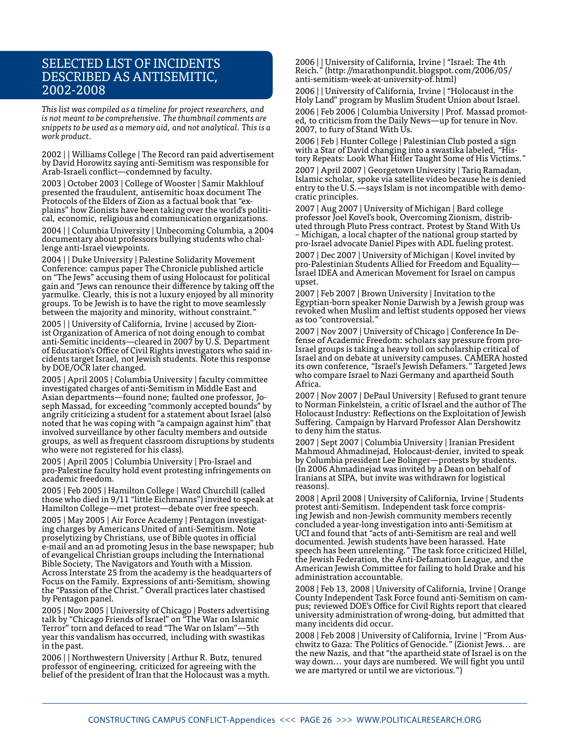### Selected List of Incidents Described as Antisemitic, 2002-2008

*This list was compiled as a timeline for project researchers, and is not meant to be comprehensive. The thumbnail comments are snippets to be used as a memory aid, and not analytical. This is a work product.*

2002 | | Williams College | The Record ran paid advertisement by David Horowitz saying anti-Semitism was responsible for Arab-Israeli conflict—condemned by faculty.

2003 | October 2003 | College of Wooster | Samir Makhlouf presented the fraudulent, antisemitic hoax document The Protocols of the Elders of Zion as a factual book that "explains" how Zionists have been taking over the world's political, economic, religious and communication organizations.

2004 | | Columbia University | Unbecoming Columbia, a 2004 documentary about professors bullying students who challenge anti-Israel viewpoints.

2004 | | Duke University | Palestine Solidarity Movement Conference: campus paper The Chronicle published article on "The Jews" accusing them of using Holocaust for political gain and "Jews can renounce their difference by taking off the yarmulke. Clearly, this is not a luxury enjoyed by all minority groups. To be Jewish is to have the right to move seamlessly between the majority and minority, without constraint."

2005 | | University of California, Irvine | accused by Zionist Organization of America of not doing enough to combat anti-Semitic incidents—cleared in 2007 by U.S. Department of Education's Office of Civil Rights investigators who said incidents target Israel, not Jewish students. Note this response by DOE/OCR later changed.

2005 | April 2005 | Columbia University | faculty committee investigated charges of anti-Semitism in Middle East and Asian departments—found none; faulted one professor, Joseph Massad, for exceeding "commonly accepted bounds" by angrily criticizing a student for a statement about Israel (also noted that he was coping with "a campaign against him" that involved surveillance by other faculty members and outside groups, as well as frequent classroom disruptions by students who were not registered for his class).

2005 | April 2005 | Columbia University | Pro-Israel and pro-Palestine faculty hold event protesting infringements on academic freedom.

2005 | Feb 2005 | Hamilton College | Ward Churchill (called those who died in 9/11 "little Eichmanns") invited to speak at Hamilton College—met protest—debate over free speech.

2005 | May 2005 | Air Force Academy | Pentagon investigating charges by Americans United of anti-Semitism. Note proselytizing by Christians, use of Bible quotes in official e-mail and an ad promoting Jesus in the base newspaper; hub of evangelical Christian groups including the International Bible Society, The Navigators and Youth with a Mission. Across Interstate 25 from the academy is the headquarters of Focus on the Family. Expressions of anti-Semitism, showing the "Passion of the Christ." Overall practices later chastised by Pentagon panel.

2005 | Nov 2005 | University of Chicago | Posters advertising talk by "Chicago Friends of Israel" on "The War on Islamic Terror" torn and defaced to read "The War on Islam"—5th year this vandalism has occurred, including with swastikas in the past.

2006 | | Northwestern University | Arthur R. Butz, tenured professor of engineering, criticized for agreeing with the belief of the president of Iran that the Holocaust was a myth. 2006 | | University of California, Irvine | "Israel: The 4th Reich." (http://marathonpundit.blogspot.com/2006/05/ anti-semitism-week-at-university-of.html)

2006 | | University of California, Irvine | "Holocaust in the Holy Land" program by Muslim Student Union about Israel.

2006 | Feb 2006 | Columbia University | Prof. Massad promoted, to criticism from the Daily News—up for tenure in Nov. 2007, to fury of Stand With Us.

2006 | Feb | Hunter College | Palestinian Club posted a sign with a Star of David changing into a swastika labeled, "History Repeats: Look What Hitler Taught Some of His Victims." 2007 | April 2007 | Georgetown University | Tariq Ramadan, Islamic scholar, spoke via satellite video because he is denied entry to the U.S.—says Islam is not incompatible with democratic principles.

2007 | Aug 2007 | University of Michigan | Bard college professor Joel Kovel's book, Overcoming Zionism, distributed through Pluto Press contract. Protest by Stand With Us – Michigan, a local chapter of the national group started by pro-Israel advocate Daniel Pipes with ADL fueling protest.

2007 | Dec 2007 | University of Michigan | Kovel invited by pro-Palestinian Students Allied for Freedom and Equality— Israel IDEA and American Movement for Israel on campus upset.

2007 | Feb 2007 | Brown University | Invitation to the Egyptian-born speaker Nonie Darwish by a Jewish group was revoked when Muslim and leftist students opposed her views as too "controversial."

2007 | Nov 2007 | University of Chicago | Conference In Defense of Academic Freedom: scholars say pressure from pro-Israel groups is taking a heavy toll on scholarship critical of Israel and on debate at university campuses. CAMERA hosted its own conference, "Israel's Jewish Defamers." Targeted Jews who compare Israel to Nazi Germany and apartheid South Africa.

2007 | Nov 2007 | DePaul University | Refused to grant tenure to Norman Finkelstein, a critic of Israel and the author of The Holocaust Industry: Reflections on the Exploitation of Jewish Suffering. Campaign by Harvard Professor Alan Dershowitz to deny him the status.

2007 | Sept 2007 | Columbia University | Iranian President Mahmoud Ahmadinejad, Holocaust-denier, invited to speak by Columbia president Lee Bolinger—protests by students. (In 2006 Ahmadinejad was invited by a Dean on behalf of Iranians at SIPA, but invite was withdrawn for logistical reasons).

2008 | April 2008 | University of California, Irvine | Students protest anti-Semitism. Independent task force comprising Jewish and non-Jewish community members recently concluded a year-long investigation into anti-Semitism at UCI and found that "acts of anti-Semitism are real and well documented. Jewish students have been harassed. Hate speech has been unrelenting." The task force criticized Hillel, the Jewish Federation, the Anti-Defamation League, and the American Jewish Committee for failing to hold Drake and his administration accountable.

2008 | Feb 13, 2008 | University of California, Irvine | Orange County Independent Task Force found anti-Semitism on campus; reviewed DOE's Office for Civil Rights report that cleared university administration of wrong-doing, but admitted that many incidents did occur.

2008 | Feb 2008 | University of California, Irvine | "From Auschwitz to Gaza: The Politics of Genocide." (Zionist Jews... are the new Nazis, and that "the apartheid state of Israel is on the way down... your days are numbered. We will fight you until we are martyred or until we are victorious.")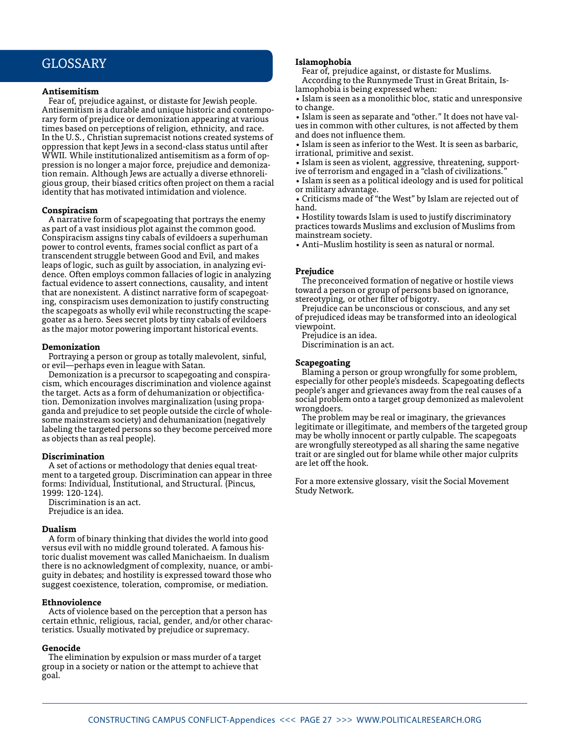### Glossary

#### **Antisemitism**

Fear of, prejudice against, or distaste for Jewish people. Antisemitism is a durable and unique historic and contemporary form of prejudice or demonization appearing at various times based on perceptions of religion, ethnicity, and race. In the U.S., Christian supremacist notions created systems of oppression that kept Jews in a second-class status until after WWII. While institutionalized antisemitism as a form of oppression is no longer a major force, prejudice and demonization remain. Although Jews are actually a diverse ethnoreligious group, their biased critics often project on them a racial identity that has motivated intimidation and violence.

#### **Conspiracism**

A narrative form of scapegoating that portrays the enemy as part of a vast insidious plot against the common good. Conspiracism assigns tiny cabals of evildoers a superhuman power to control events, frames social conflict as part of a transcendent struggle between Good and Evil, and makes leaps of logic, such as guilt by association, in analyzing evidence. Often employs common fallacies of logic in analyzing factual evidence to assert connections, causality, and intent that are nonexistent. A distinct narrative form of scapegoating, conspiracism uses demonization to justify constructing the scapegoats as wholly evil while reconstructing the scapegoater as a hero. Sees secret plots by tiny cabals of evildoers as the major motor powering important historical events.

#### **Demonization**

Portraying a person or group as totally malevolent, sinful, or evil—perhaps even in league with Satan.

Demonization is a precursor to scapegoating and conspiracism, which encourages discrimination and violence against the target. Acts as a form of dehumanization or objectification. Demonization involves marginalization (using propaganda and prejudice to set people outside the circle of wholesome mainstream society) and dehumanization (negatively labeling the targeted persons so they become perceived more as objects than as real people).

#### **Discrimination**

A set of actions or methodology that denies equal treatment to a targeted group. Discrimination can appear in three forms: Individual, Institutional, and Structural. (Pincus, 1999: 120-124).

Discrimination is an act. Prejudice is an idea.

#### **Dualism**

A form of binary thinking that divides the world into good versus evil with no middle ground tolerated. A famous historic dualist movement was called Manichaeism. In dualism there is no acknowledgment of complexity, nuance, or ambiguity in debates; and hostility is expressed toward those who suggest coexistence, toleration, compromise, or mediation.

#### **Ethnoviolence**

Acts of violence based on the perception that a person has certain ethnic, religious, racial, gender, and/or other characteristics. Usually motivated by prejudice or supremacy.

#### **Genocide**

The elimination by expulsion or mass murder of a target group in a society or nation or the attempt to achieve that goal.

#### **Islamophobia**

Fear of, prejudice against, or distaste for Muslims.

According to the Runnymede Trust in Great Britain, Islamophobia is being expressed when:

• Islam is seen as a monolithic bloc, static and unresponsive to change.

• Islam is seen as separate and "other." It does not have values in common with other cultures, is not affected by them and does not influence them.

• Islam is seen as inferior to the West. It is seen as barbaric, irrational, primitive and sexist.

• Islam is seen as violent, aggressive, threatening, support-

ive of terrorism and engaged in a "clash of civilizations." • Islam is seen as a political ideology and is used for political or military advantage.

• Criticisms made of "the West" by Islam are rejected out of hand.

• Hostility towards Islam is used to justify discriminatory practices towards Muslims and exclusion of Muslims from mainstream society.

• Anti–Muslim hostility is seen as natural or normal.

#### **Prejudice**

The preconceived formation of negative or hostile views toward a person or group of persons based on ignorance, stereotyping, or other filter of bigotry.

Prejudice can be unconscious or conscious, and any set of prejudiced ideas may be transformed into an ideological viewpoint.

Prejudice is an idea.

Discrimination is an act.

#### **Scapegoating**

Blaming a person or group wrongfully for some problem, especially for other people's misdeeds. Scapegoating deflects people's anger and grievances away from the real causes of a social problem onto a target group demonized as malevolent wrongdoers.

The problem may be real or imaginary, the grievances legitimate or illegitimate, and members of the targeted group may be wholly innocent or partly culpable. The scapegoats are wrongfully stereotyped as all sharing the same negative trait or are singled out for blame while other major culprits are let off the hook.

For a more extensive glossary, visit the Social Movement Study Network.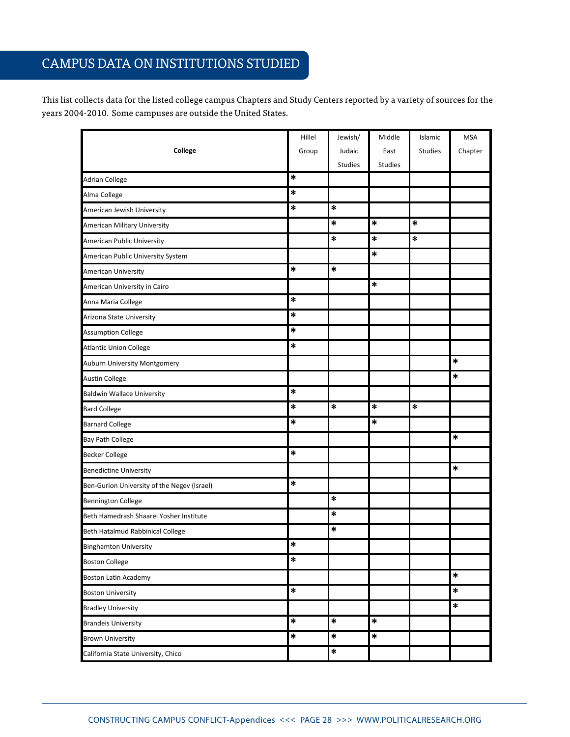## campus data on institutions studied

This list collects data for the listed college campus Chapters and Study Centers reported by a variety of sources for the years 2004-2010. Some campuses are outside the United States.

|                                             | Hillel | Jewish/        | Middle  | Islamic        | <b>MSA</b> |
|---------------------------------------------|--------|----------------|---------|----------------|------------|
| College                                     | Group  | Judaic         | East    | <b>Studies</b> | Chapter    |
|                                             |        | <b>Studies</b> | Studies |                |            |
| <b>Adrian College</b>                       | $\ast$ |                |         |                |            |
| Alma College                                | *      |                |         |                |            |
| American Jewish University                  | $\ast$ | ∗              |         |                |            |
| American Military University                |        | *              | *       | $\ast$         |            |
| American Public University                  |        | ∗              | *       | *              |            |
| American Public University System           |        |                | *       |                |            |
| <b>American University</b>                  | *      | *              |         |                |            |
| American University in Cairo                |        |                | *       |                |            |
| Anna Maria College                          | $\ast$ |                |         |                |            |
| Arizona State University                    | $\ast$ |                |         |                |            |
| <b>Assumption College</b>                   | $\ast$ |                |         |                |            |
| <b>Atlantic Union College</b>               | $\ast$ |                |         |                |            |
| Auburn University Montgomery                |        |                |         |                | *          |
| <b>Austin College</b>                       |        |                |         |                | *          |
| <b>Baldwin Wallace University</b>           | *      |                |         |                |            |
| <b>Bard College</b>                         | $\ast$ | *              | *       | *              |            |
| <b>Barnard College</b>                      | *      |                | *       |                |            |
| <b>Bay Path College</b>                     |        |                |         |                | *          |
| <b>Becker College</b>                       | *      |                |         |                |            |
| <b>Benedictine University</b>               |        |                |         |                | $\ast$     |
| Ben-Gurion University of the Negev (Israel) | *      |                |         |                |            |
| <b>Bennington College</b>                   |        | *              |         |                |            |
| Beth Hamedrash Shaarei Yosher Institute     |        | *              |         |                |            |
| Beth Hatalmud Rabbinical College            |        | *              |         |                |            |
| <b>Binghamton University</b>                | $\ast$ |                |         |                |            |
| <b>Boston College</b>                       | $\ast$ |                |         |                |            |
| <b>Boston Latin Academy</b>                 |        |                |         |                | $\ast$     |
| <b>Boston University</b>                    | $\ast$ |                |         |                | *          |
| <b>Bradley University</b>                   |        |                |         |                | $\ast$     |
| <b>Brandeis University</b>                  | $\ast$ | $\ast$         | $\ast$  |                |            |
| <b>Brown University</b>                     | $\ast$ | $\ast$         | $\ast$  |                |            |
| California State University, Chico          |        | $\ast$         |         |                |            |

California State University, Northridge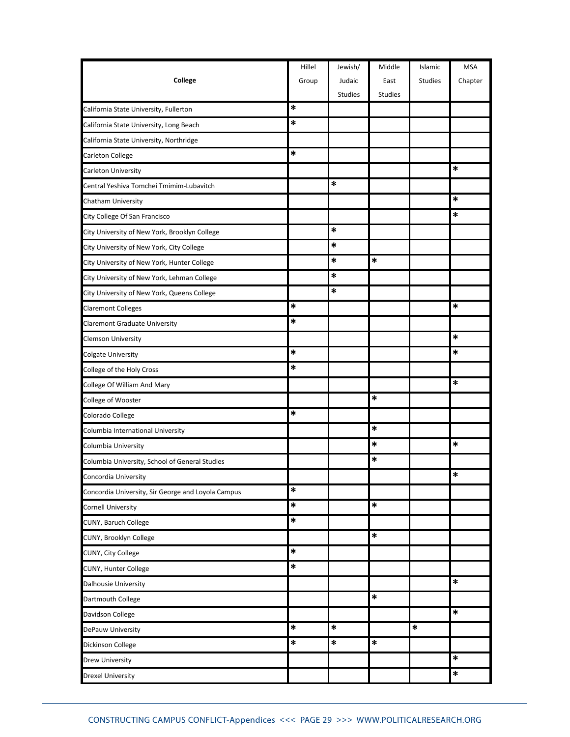|                                                    | Hillel | Jewish/        | Middle         | Islamic        | <b>MSA</b> |
|----------------------------------------------------|--------|----------------|----------------|----------------|------------|
| College                                            | Group  | Judaic         | East           | <b>Studies</b> | Chapter    |
|                                                    |        | <b>Studies</b> | <b>Studies</b> |                |            |
| California State University, Fullerton             | *      |                |                |                |            |
| California State University, Long Beach            | *      |                |                |                |            |
| California State University, Northridge            |        |                |                |                |            |
| Carleton College                                   | $\ast$ |                |                |                |            |
| Carleton University                                |        |                |                |                | *          |
| Central Yeshiva Tomchei Tmimim-Lubavitch           |        | *              |                |                |            |
| Chatham University                                 |        |                |                |                | *          |
| City College Of San Francisco                      |        |                |                |                | $\ast$     |
| City University of New York, Brooklyn College      |        | *              |                |                |            |
| City University of New York, City College          |        | $\ast$         |                |                |            |
| City University of New York, Hunter College        |        | *              | *              |                |            |
| City University of New York, Lehman College        |        | *              |                |                |            |
| City University of New York, Queens College        |        | *              |                |                |            |
| <b>Claremont Colleges</b>                          | *      |                |                |                | *          |
| <b>Claremont Graduate University</b>               | *      |                |                |                |            |
| <b>Clemson University</b>                          |        |                |                |                | *          |
| <b>Colgate University</b>                          | $\ast$ |                |                |                | *          |
| College of the Holy Cross                          | *      |                |                |                |            |
| College Of William And Mary                        |        |                |                |                | *          |
| College of Wooster                                 |        |                | $\ast$         |                |            |
| Colorado College                                   | $\ast$ |                |                |                |            |
| Columbia International University                  |        |                | *              |                |            |
| Columbia University                                |        |                | *              |                | $\ast$     |
| Columbia University, School of General Studies     |        |                | *              |                |            |
| Concordia University                               |        |                |                |                | $\ast$     |
| Concordia University, Sir George and Loyola Campus | $\ast$ |                |                |                |            |
| <b>Cornell University</b>                          | $\ast$ |                | $\ast$         |                |            |
| CUNY, Baruch College                               | $\ast$ |                |                |                |            |
| CUNY, Brooklyn College                             |        |                | *              |                |            |
| CUNY, City College                                 | $\ast$ |                |                |                |            |
| CUNY, Hunter College                               | $\ast$ |                |                |                |            |
| Dalhousie University                               |        |                |                |                | $\ast$     |
| Dartmouth College                                  |        |                | $\ast$         |                |            |
| Davidson College                                   |        |                |                |                | $\ast$     |
| DePauw University                                  | $\ast$ | $\ast$         |                | *              |            |
| <b>Dickinson College</b>                           | $\ast$ | $\ast$         | *              |                |            |
| <b>Drew University</b>                             |        |                |                |                | $\ast$     |
| <b>Drexel University</b>                           |        |                |                |                | $\ast$     |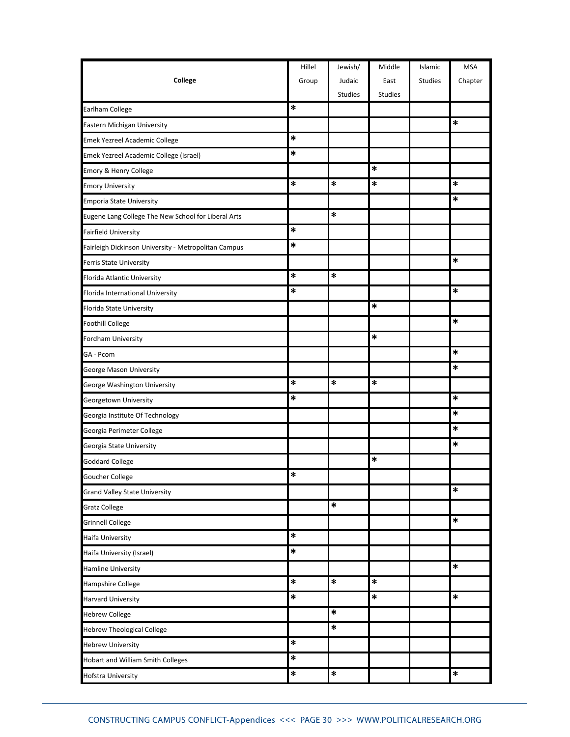|                                                      | Hillel | Jewish/        | Middle         | Islamic        | <b>MSA</b> |
|------------------------------------------------------|--------|----------------|----------------|----------------|------------|
| College                                              | Group  | Judaic         | East           | <b>Studies</b> | Chapter    |
|                                                      |        | <b>Studies</b> | <b>Studies</b> |                |            |
| Earlham College                                      | $\ast$ |                |                |                |            |
| Eastern Michigan University                          |        |                |                |                | *          |
| Emek Yezreel Academic College                        | $\ast$ |                |                |                |            |
| Emek Yezreel Academic College (Israel)               | $\ast$ |                |                |                |            |
| Emory & Henry College                                |        |                | *              |                |            |
| <b>Emory University</b>                              | $\ast$ | *              | $\ast$         |                | *          |
| <b>Emporia State University</b>                      |        |                |                |                | *          |
| Eugene Lang College The New School for Liberal Arts  |        | *              |                |                |            |
| <b>Fairfield University</b>                          | *      |                |                |                |            |
| Fairleigh Dickinson University - Metropolitan Campus | $\ast$ |                |                |                |            |
| <b>Ferris State University</b>                       |        |                |                |                | *          |
| Florida Atlantic University                          | $\ast$ | *              |                |                |            |
| Florida International University                     | *      |                |                |                | *          |
| Florida State University                             |        |                | $\ast$         |                |            |
| <b>Foothill College</b>                              |        |                |                |                | *          |
| Fordham University                                   |        |                | *              |                |            |
| GA - Pcom                                            |        |                |                |                | *          |
| George Mason University                              |        |                |                |                | *          |
| George Washington University                         | *      | *              | *              |                |            |
| Georgetown University                                | $\ast$ |                |                |                | *          |
| Georgia Institute Of Technology                      |        |                |                |                | *          |
| Georgia Perimeter College                            |        |                |                |                | *          |
| Georgia State University                             |        |                |                |                | *          |
| <b>Goddard College</b>                               |        |                | $\ast$         |                |            |
| Goucher College                                      | $\ast$ |                |                |                |            |
| <b>Grand Valley State University</b>                 |        |                |                |                | *          |
| <b>Gratz College</b>                                 |        | $\ast$         |                |                |            |
| <b>Grinnell College</b>                              |        |                |                |                | $\ast$     |
| Haifa University                                     | $\ast$ |                |                |                |            |
| Haifa University (Israel)                            | $\ast$ |                |                |                |            |
| <b>Hamline University</b>                            |        |                |                |                | *          |
| Hampshire College                                    | $\ast$ | $\ast$         | $\ast$         |                |            |
| <b>Harvard University</b>                            | *      |                | $\ast$         |                | $\ast$     |
| <b>Hebrew College</b>                                |        | *              |                |                |            |
| <b>Hebrew Theological College</b>                    |        | $\ast$         |                |                |            |
| <b>Hebrew University</b>                             | $\ast$ |                |                |                |            |
| Hobart and William Smith Colleges                    | $\ast$ |                |                |                |            |
| Hofstra University                                   | $\ast$ | $\ast$         |                |                | $\ast$     |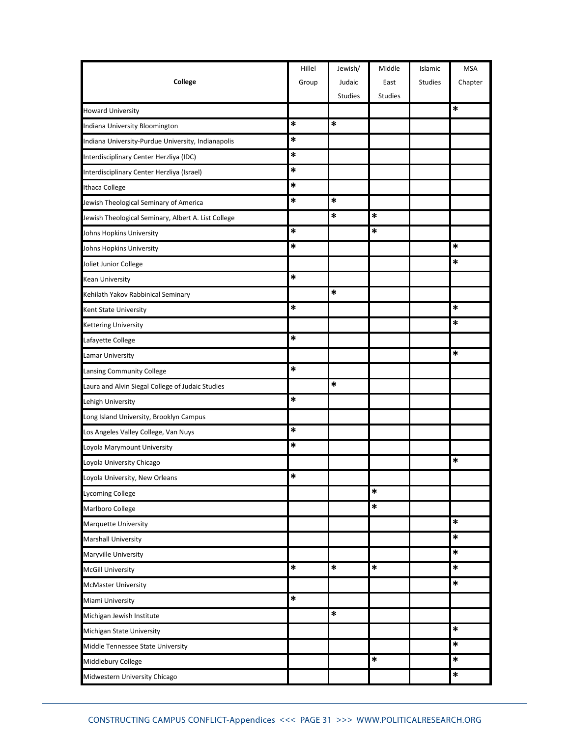|                                                     | Hillel | Jewish/        | Middle         | Islamic        | <b>MSA</b> |
|-----------------------------------------------------|--------|----------------|----------------|----------------|------------|
| College                                             | Group  | Judaic         | East           | <b>Studies</b> | Chapter    |
|                                                     |        | <b>Studies</b> | <b>Studies</b> |                |            |
| <b>Howard University</b>                            |        |                |                |                | *          |
| Indiana University Bloomington                      | *      | ∗              |                |                |            |
| Indiana University-Purdue University, Indianapolis  | $\ast$ |                |                |                |            |
| Interdisciplinary Center Herzliya (IDC)             | *      |                |                |                |            |
| Interdisciplinary Center Herzliya (Israel)          | *      |                |                |                |            |
| Ithaca College                                      | *      |                |                |                |            |
| Jewish Theological Seminary of America              | *      | $\ast$         |                |                |            |
| Jewish Theological Seminary, Albert A. List College |        | *              | *              |                |            |
| Johns Hopkins University                            | *      |                | *              |                |            |
| Johns Hopkins University                            | *      |                |                |                | $\ast$     |
| Joliet Junior College                               |        |                |                |                | *          |
| <b>Kean University</b>                              | *      |                |                |                |            |
| Kehilath Yakov Rabbinical Seminary                  |        | $\ast$         |                |                |            |
| Kent State University                               | *      |                |                |                | *          |
| <b>Kettering University</b>                         |        |                |                |                | $\ast$     |
| Lafayette College                                   | *      |                |                |                |            |
| <b>Lamar University</b>                             |        |                |                |                | *          |
| Lansing Community College                           | *      |                |                |                |            |
| Laura and Alvin Siegal College of Judaic Studies    |        | $\ast$         |                |                |            |
| Lehigh University                                   | $\ast$ |                |                |                |            |
| Long Island University, Brooklyn Campus             |        |                |                |                |            |
| Los Angeles Valley College, Van Nuys                | $\ast$ |                |                |                |            |
| Loyola Marymount University                         | *      |                |                |                |            |
| Loyola University Chicago                           |        |                |                |                | *          |
| Loyola University, New Orleans                      | $\ast$ |                |                |                |            |
| Lycoming College                                    |        |                | $\ast$         |                |            |
| Marlboro College                                    |        |                | $\ast$         |                |            |
| Marquette University                                |        |                |                |                | $\ast$     |
| <b>Marshall University</b>                          |        |                |                |                | $\ast$     |
| Maryville University                                |        |                |                |                | $\ast$     |
| <b>McGill University</b>                            | *      | *              | *              |                | $\ast$     |
| McMaster University                                 |        |                |                |                | $\ast$     |
| Miami University                                    | $\ast$ |                |                |                |            |
| Michigan Jewish Institute                           |        | $\ast$         |                |                |            |
| Michigan State University                           |        |                |                |                | $\ast$     |
| Middle Tennessee State University                   |        |                |                |                | $\ast$     |
| Middlebury College                                  |        |                | *              |                | $\ast$     |
| Midwestern University Chicago                       |        |                |                |                | $\ast$     |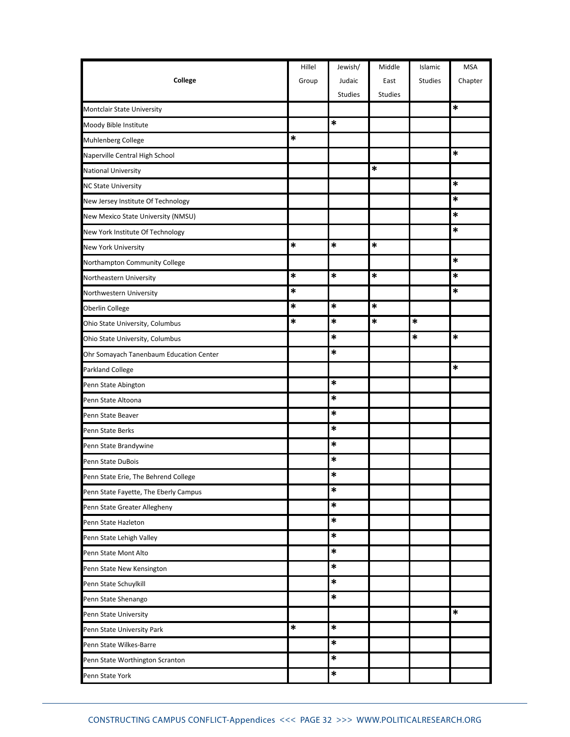|                                         | Hillel | Jewish/        | Middle         | Islamic        | <b>MSA</b> |
|-----------------------------------------|--------|----------------|----------------|----------------|------------|
| College                                 | Group  | Judaic         | East           | <b>Studies</b> | Chapter    |
|                                         |        | <b>Studies</b> | <b>Studies</b> |                |            |
| <b>Montclair State University</b>       |        |                |                |                | $\ast$     |
| Moody Bible Institute                   |        | *              |                |                |            |
| Muhlenberg College                      | *      |                |                |                |            |
| Naperville Central High School          |        |                |                |                | $\ast$     |
| <b>National University</b>              |        |                | *              |                |            |
| <b>NC State University</b>              |        |                |                |                | *          |
| New Jersey Institute Of Technology      |        |                |                |                | *          |
| New Mexico State University (NMSU)      |        |                |                |                | *          |
| New York Institute Of Technology        |        |                |                |                | *          |
| New York University                     | $\ast$ | *              | $\ast$         |                |            |
| Northampton Community College           |        |                |                |                | $\ast$     |
| Northeastern University                 | $\ast$ | *              | $\ast$         |                | *          |
| Northwestern University                 | *      |                |                |                | *          |
| Oberlin College                         | *      | *              | $\ast$         |                |            |
| Ohio State University, Columbus         | *      | $\ast$         | *              | *              |            |
| Ohio State University, Columbus         |        | *              |                | *              | *          |
| Ohr Somayach Tanenbaum Education Center |        | $\ast$         |                |                |            |
| Parkland College                        |        |                |                |                | *          |
| Penn State Abington                     |        | *              |                |                |            |
| Penn State Altoona                      |        | *              |                |                |            |
| Penn State Beaver                       |        | $\ast$         |                |                |            |
| Penn State Berks                        |        | $\ast$         |                |                |            |
| Penn State Brandywine                   |        | *              |                |                |            |
| Penn State DuBois                       |        | ∗              |                |                |            |
| Penn State Erie, The Behrend College    |        | $\ast$         |                |                |            |
| Penn State Fayette, The Eberly Campus   |        | *              |                |                |            |
| Penn State Greater Allegheny            |        | $\ast$         |                |                |            |
| Penn State Hazleton                     |        | *              |                |                |            |
| Penn State Lehigh Valley                |        | $\ast$         |                |                |            |
| Penn State Mont Alto                    |        | $\ast$         |                |                |            |
| Penn State New Kensington               |        | $\ast$         |                |                |            |
| Penn State Schuylkill                   |        | $\ast$         |                |                |            |
| Penn State Shenango                     |        | $\ast$         |                |                |            |
| Penn State University                   |        |                |                |                | $\ast$     |
| Penn State University Park              | $\ast$ | $\ast$         |                |                |            |
| Penn State Wilkes-Barre                 |        | $\ast$         |                |                |            |
| Penn State Worthington Scranton         |        | $\ast$         |                |                |            |
| Penn State York                         |        | $\ast$         |                |                |            |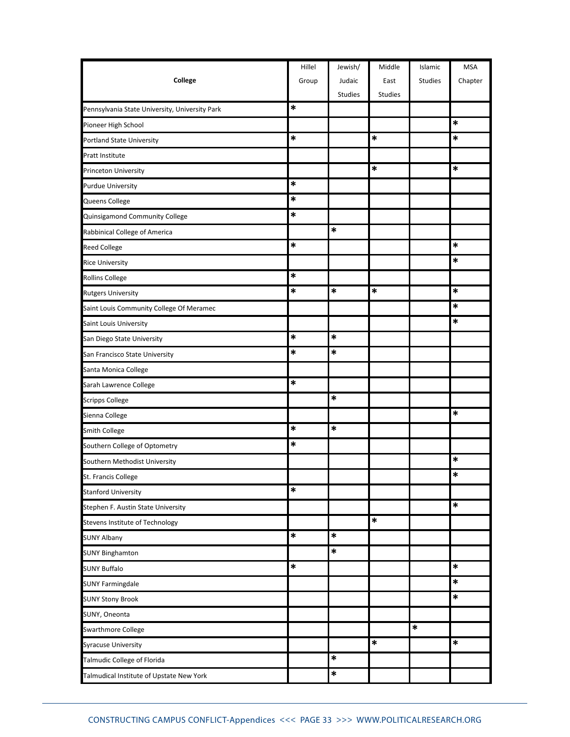|                                                | Hillel | Jewish/        | Middle         | Islamic        | <b>MSA</b> |
|------------------------------------------------|--------|----------------|----------------|----------------|------------|
| College                                        | Group  | Judaic         | East           | <b>Studies</b> | Chapter    |
|                                                |        | <b>Studies</b> | <b>Studies</b> |                |            |
| Pennsylvania State University, University Park | *      |                |                |                |            |
| Pioneer High School                            |        |                |                |                | $\ast$     |
| <b>Portland State University</b>               | *      |                | $\ast$         |                | *          |
| Pratt Institute                                |        |                |                |                |            |
| Princeton University                           |        |                | *              |                | *          |
| <b>Purdue University</b>                       | $\ast$ |                |                |                |            |
| Queens College                                 | $\ast$ |                |                |                |            |
| Quinsigamond Community College                 | $\ast$ |                |                |                |            |
| Rabbinical College of America                  |        | $\ast$         |                |                |            |
| <b>Reed College</b>                            | $\ast$ |                |                |                | *          |
| <b>Rice University</b>                         |        |                |                |                | ∗          |
| <b>Rollins College</b>                         | $\ast$ |                |                |                |            |
| <b>Rutgers University</b>                      | *      | *              | *              |                | ∗          |
| Saint Louis Community College Of Meramec       |        |                |                |                | *          |
| Saint Louis University                         |        |                |                |                | ∗          |
| San Diego State University                     | $\ast$ | $\ast$         |                |                |            |
| San Francisco State University                 | *      | $\ast$         |                |                |            |
| Santa Monica College                           |        |                |                |                |            |
| Sarah Lawrence College                         | *      |                |                |                |            |
| <b>Scripps College</b>                         |        | *              |                |                |            |
| Sienna College                                 |        |                |                |                | $\ast$     |
| Smith College                                  | $\ast$ | *              |                |                |            |
| Southern College of Optometry                  | *      |                |                |                |            |
| Southern Methodist University                  |        |                |                |                | ∗          |
| St. Francis College                            |        |                |                |                | $\ast$     |
| <b>Stanford University</b>                     | *      |                |                |                |            |
| Stephen F. Austin State University             |        |                |                |                | $\ast$     |
| Stevens Institute of Technology                |        |                | $\ast$         |                |            |
| <b>SUNY Albany</b>                             | $\ast$ | $\ast$         |                |                |            |
| <b>SUNY Binghamton</b>                         |        | $\ast$         |                |                |            |
| <b>SUNY Buffalo</b>                            | $\ast$ |                |                |                | $\ast$     |
| <b>SUNY Farmingdale</b>                        |        |                |                |                | $\ast$     |
| <b>SUNY Stony Brook</b>                        |        |                |                |                | $\ast$     |
| SUNY, Oneonta                                  |        |                |                |                |            |
| <b>Swarthmore College</b>                      |        |                |                | $\ast$         |            |
| Syracuse University                            |        |                | ∗              |                | ∗          |
| Talmudic College of Florida                    |        | *              |                |                |            |
| Talmudical Institute of Upstate New York       |        | *              |                |                |            |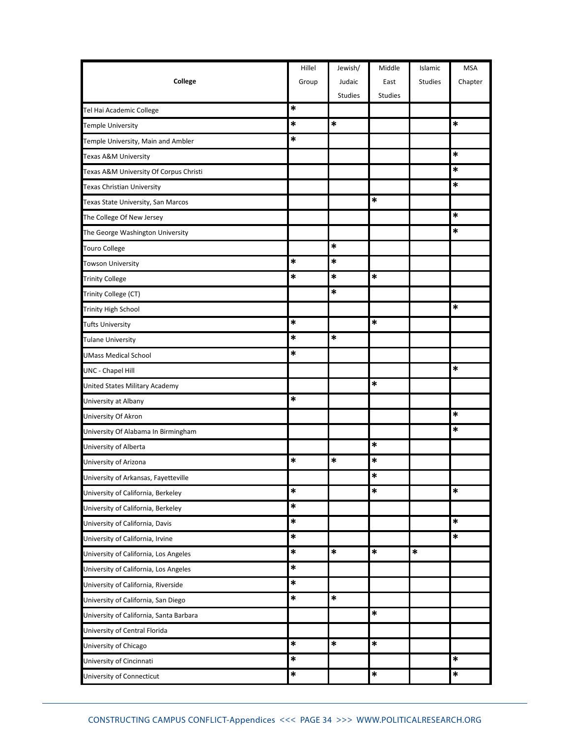|                                         | Hillel | Jewish/        | Middle         | Islamic        | <b>MSA</b> |
|-----------------------------------------|--------|----------------|----------------|----------------|------------|
| College                                 | Group  | Judaic         | East           | <b>Studies</b> | Chapter    |
|                                         |        | <b>Studies</b> | <b>Studies</b> |                |            |
| Tel Hai Academic College                | *      |                |                |                |            |
| <b>Temple University</b>                | *      | $\ast$         |                |                | $\ast$     |
| Temple University, Main and Ambler      | *      |                |                |                |            |
| Texas A&M University                    |        |                |                |                | $\ast$     |
| Texas A&M University Of Corpus Christi  |        |                |                |                | *          |
| Texas Christian University              |        |                |                |                | $\ast$     |
| Texas State University, San Marcos      |        |                | $\ast$         |                |            |
| The College Of New Jersey               |        |                |                |                | $\ast$     |
| The George Washington University        |        |                |                |                | *          |
| <b>Touro College</b>                    |        | $\ast$         |                |                |            |
| <b>Towson University</b>                | *      | *              |                |                |            |
| <b>Trinity College</b>                  | *      | $\ast$         | *              |                |            |
| Trinity College (CT)                    |        | *              |                |                |            |
| <b>Trinity High School</b>              |        |                |                |                | *          |
| <b>Tufts University</b>                 | *      |                | *              |                |            |
| <b>Tulane University</b>                | $\ast$ | *              |                |                |            |
| <b>UMass Medical School</b>             | $\ast$ |                |                |                |            |
| <b>UNC - Chapel Hill</b>                |        |                |                |                | *          |
| United States Military Academy          |        |                | *              |                |            |
| University at Albany                    | $\ast$ |                |                |                |            |
| University Of Akron                     |        |                |                |                | *          |
| University Of Alabama In Birmingham     |        |                |                |                | *          |
| University of Alberta                   |        |                | *              |                |            |
| University of Arizona                   | $\ast$ | *              | *              |                |            |
| University of Arkansas, Fayetteville    |        |                | $\ast$         |                |            |
| University of California, Berkeley      | *      |                | *              |                | $\ast$     |
| University of California, Berkeley      | $\ast$ |                |                |                |            |
| University of California, Davis         | *      |                |                |                | $\ast$     |
| University of California, Irvine        | $\ast$ |                |                |                | $\ast$     |
| University of California, Los Angeles   | $\ast$ | $\ast$         | $\ast$         | $\ast$         |            |
| University of California, Los Angeles   | *      |                |                |                |            |
| University of California, Riverside     | $\ast$ |                |                |                |            |
| University of California, San Diego     | $\ast$ | $\ast$         |                |                |            |
| University of California, Santa Barbara |        |                | *              |                |            |
| University of Central Florida           |        |                |                |                |            |
| University of Chicago                   | *      | $\ast$         | *              |                |            |
| University of Cincinnati                | *      |                |                |                | $\ast$     |
| University of Connecticut               | $\ast$ |                | $\ast$         |                | $\ast$     |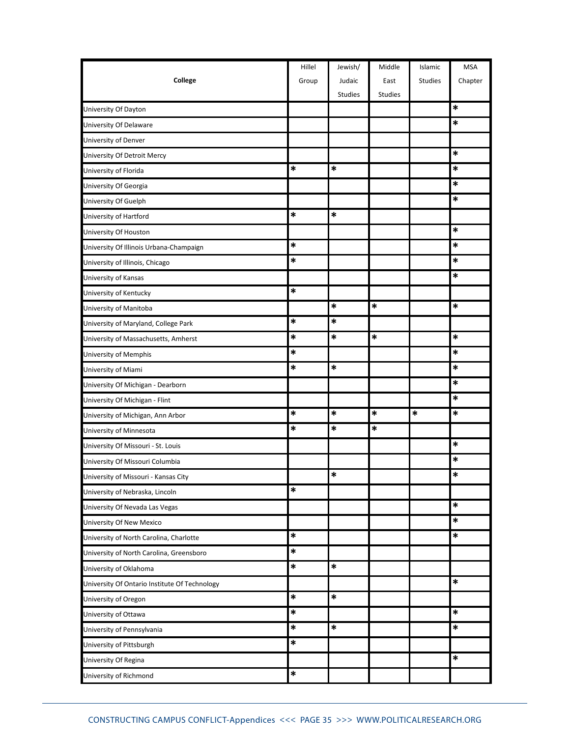|                                               | Hillel | Jewish/        | Middle         | Islamic        | <b>MSA</b> |
|-----------------------------------------------|--------|----------------|----------------|----------------|------------|
| College                                       | Group  | Judaic         | East           | <b>Studies</b> | Chapter    |
|                                               |        | <b>Studies</b> | <b>Studies</b> |                |            |
| University Of Dayton                          |        |                |                |                | *          |
| University Of Delaware                        |        |                |                |                | *          |
| University of Denver                          |        |                |                |                |            |
| University Of Detroit Mercy                   |        |                |                |                | $\ast$     |
| University of Florida                         | *      | $\ast$         |                |                | *          |
| University Of Georgia                         |        |                |                |                | $\ast$     |
| University Of Guelph                          |        |                |                |                | $\ast$     |
| University of Hartford                        | *      | *              |                |                |            |
| University Of Houston                         |        |                |                |                | *          |
| University Of Illinois Urbana-Champaign       | *      |                |                |                | ∗          |
| University of Illinois, Chicago               | *      |                |                |                | *          |
| University of Kansas                          |        |                |                |                | *          |
| University of Kentucky                        | *      |                |                |                |            |
| University of Manitoba                        |        | $\ast$         | *              |                | $\ast$     |
| University of Maryland, College Park          | *      | *              |                |                |            |
| University of Massachusetts, Amherst          | $\ast$ | *              | $\ast$         |                | $\ast$     |
| University of Memphis                         | *      |                |                |                | $\ast$     |
| University of Miami                           | *      | $\ast$         |                |                | $\ast$     |
| University Of Michigan - Dearborn             |        |                |                |                | $\ast$     |
| University Of Michigan - Flint                |        |                |                |                | $\ast$     |
| University of Michigan, Ann Arbor             | *      | *              | *              | $\ast$         | $\ast$     |
| University of Minnesota                       | *      | *              | *              |                |            |
| University Of Missouri - St. Louis            |        |                |                |                | $\ast$     |
| University Of Missouri Columbia               |        |                |                |                | *          |
| University of Missouri - Kansas City          |        | $\ast$         |                |                | $\ast$     |
| University of Nebraska, Lincoln               | *      |                |                |                |            |
| University Of Nevada Las Vegas                |        |                |                |                | $\ast$     |
| University Of New Mexico                      |        |                |                |                | $\ast$     |
| University of North Carolina, Charlotte       | *      |                |                |                | $\ast$     |
| University of North Carolina, Greensboro      | *      |                |                |                |            |
| University of Oklahoma                        | *      | *              |                |                |            |
| University Of Ontario Institute Of Technology |        |                |                |                | $\ast$     |
| University of Oregon                          | $\ast$ | $\ast$         |                |                |            |
| University of Ottawa                          | $\ast$ |                |                |                | $\ast$     |
| University of Pennsylvania                    | *      | $\ast$         |                |                | *          |
| University of Pittsburgh                      | *      |                |                |                |            |
| University Of Regina                          |        |                |                |                | $\ast$     |
| University of Richmond                        | *      |                |                |                |            |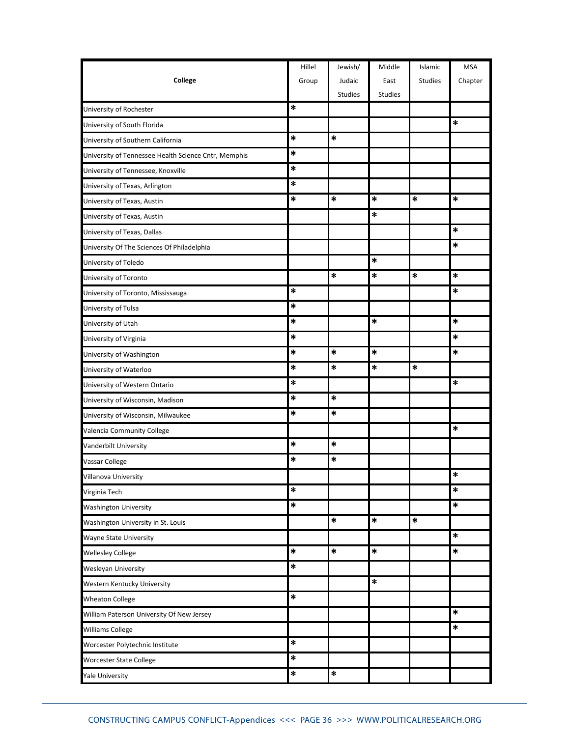|                                                      | Hillel | Jewish/        | Middle         | Islamic        | <b>MSA</b> |
|------------------------------------------------------|--------|----------------|----------------|----------------|------------|
| College                                              | Group  | Judaic         | East           | <b>Studies</b> | Chapter    |
|                                                      |        | <b>Studies</b> | <b>Studies</b> |                |            |
| University of Rochester                              | *      |                |                |                |            |
| University of South Florida                          |        |                |                |                | *          |
| University of Southern California                    | *      | *              |                |                |            |
| University of Tennessee Health Science Cntr, Memphis | *      |                |                |                |            |
| University of Tennessee, Knoxville                   | *      |                |                |                |            |
| University of Texas, Arlington                       | $\ast$ |                |                |                |            |
| University of Texas, Austin                          | *      | *              | $\ast$         | *              | *          |
| University of Texas, Austin                          |        |                | *              |                |            |
| University of Texas, Dallas                          |        |                |                |                | *          |
| University Of The Sciences Of Philadelphia           |        |                |                |                | *          |
| University of Toledo                                 |        |                | *              |                |            |
| University of Toronto                                |        | *              | *              | *              | *          |
| University of Toronto, Mississauga                   | *      |                |                |                | *          |
| University of Tulsa                                  | $\ast$ |                |                |                |            |
| University of Utah                                   | *      |                | *              |                | *          |
| University of Virginia                               | *      |                |                |                | *          |
| University of Washington                             | *      | $\ast$         | $\ast$         |                | *          |
| University of Waterloo                               | *      | *              | $\ast$         | $\ast$         |            |
| University of Western Ontario                        | *      |                |                |                | *          |
| University of Wisconsin, Madison                     | $\ast$ | $\ast$         |                |                |            |
| University of Wisconsin, Milwaukee                   | *      | *              |                |                |            |
| Valencia Community College                           |        |                |                |                | *          |
| Vanderbilt University                                | $\ast$ | $\ast$         |                |                |            |
| Vassar College                                       | *      | *              |                |                |            |
| Villanova University                                 |        |                |                |                | $\ast$     |
| Virginia Tech                                        | *      |                |                |                | $\ast$     |
| <b>Washington University</b>                         | $\ast$ |                |                |                | $\ast$     |
| Washington University in St. Louis                   |        | *              | $\ast$         | *              |            |
| <b>Wayne State University</b>                        |        |                |                |                | $\ast$     |
| <b>Wellesley College</b>                             | *      | $\ast$         | $\ast$         |                | $\ast$     |
| <b>Wesleyan University</b>                           | $\ast$ |                |                |                |            |
| Western Kentucky University                          |        |                | $\ast$         |                |            |
| <b>Wheaton College</b>                               | $\ast$ |                |                |                |            |
| William Paterson University Of New Jersey            |        |                |                |                | *          |
| <b>Williams College</b>                              |        |                |                |                | *          |
| Worcester Polytechnic Institute                      | *      |                |                |                |            |
| Worcester State College                              | $\ast$ |                |                |                |            |
| <b>Yale University</b>                               | *      | $\ast$         |                |                |            |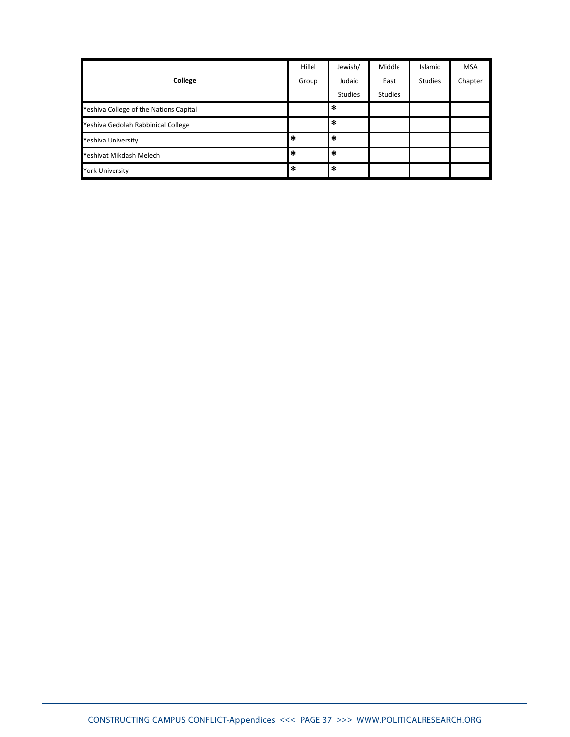|                                        | Hillel | Jewish/        | Middle         | Islamic        | <b>MSA</b> |
|----------------------------------------|--------|----------------|----------------|----------------|------------|
| College                                | Group  | Judaic         | East           | <b>Studies</b> | Chapter    |
|                                        |        | <b>Studies</b> | <b>Studies</b> |                |            |
| Yeshiva College of the Nations Capital |        | $\ast$         |                |                |            |
| Yeshiva Gedolah Rabbinical College     |        | $\ast$         |                |                |            |
| Yeshiva University                     | $\ast$ | $\ast$         |                |                |            |
| Yeshivat Mikdash Melech                | $\ast$ | $\ast$         |                |                |            |
| <b>York University</b>                 | $\ast$ | $\ast$         |                |                |            |